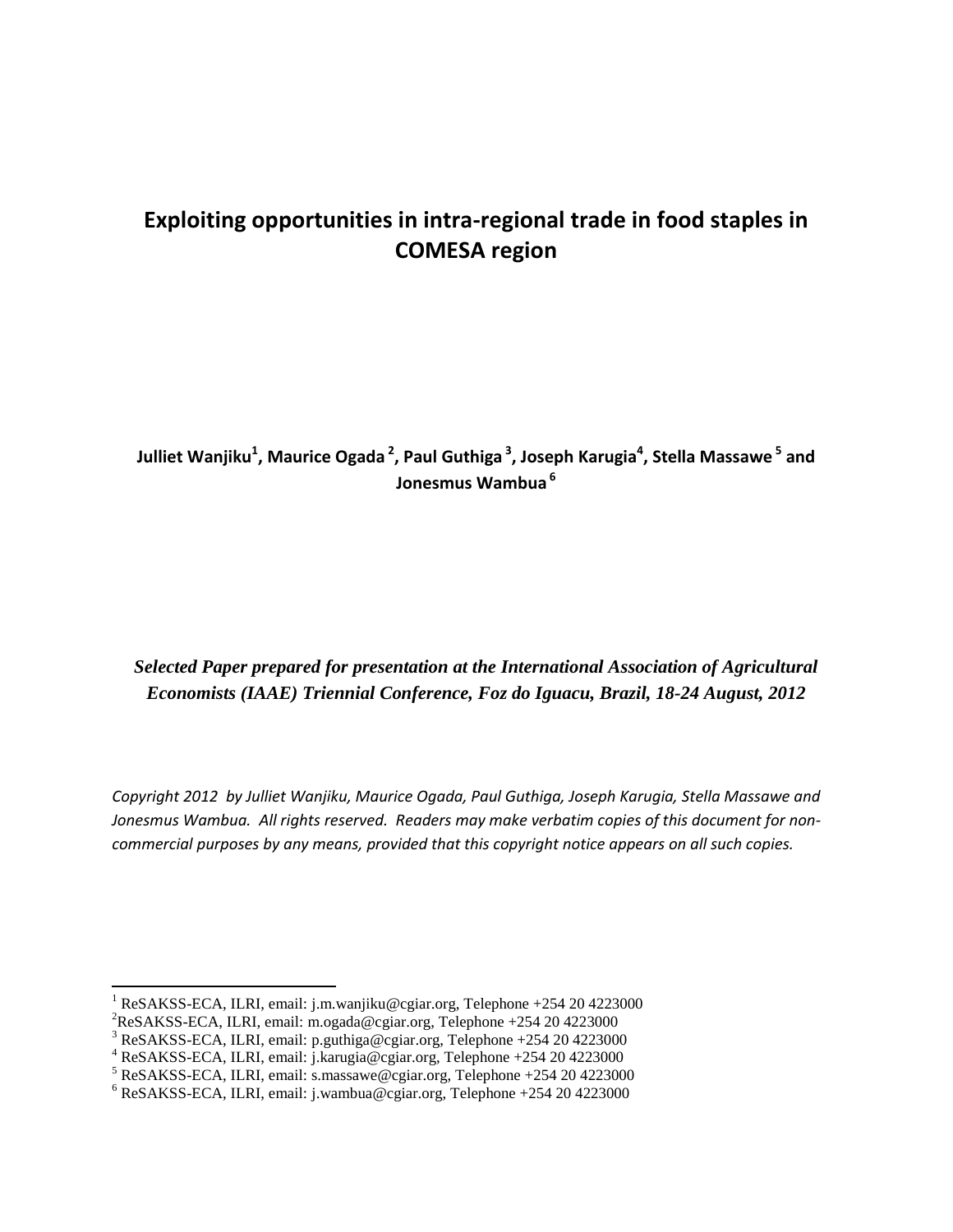# **Exploiting opportunities in intra-regional trade in food staples in COMESA region**

**Julliet Wanjiku<sup>1</sup> , Maurice Ogada <sup>2</sup> , Paul Guthiga <sup>3</sup> , Joseph Karugia<sup>4</sup> , Stella Massawe <sup>5</sup> and Jonesmus Wambua <sup>6</sup>**

*Selected Paper prepared for presentation at the International Association of Agricultural Economists (IAAE) Triennial Conference, Foz do Iguacu, Brazil, 18-24 August, 2012*

*Copyright 2012 by Julliet Wanjiku, Maurice Ogada, Paul Guthiga, Joseph Karugia, Stella Massawe and Jonesmus Wambua. All rights reserved. Readers may make verbatim copies of this document for noncommercial purposes by any means, provided that this copyright notice appears on all such copies.*

 $\overline{\phantom{a}}$ 

<sup>&</sup>lt;sup>1</sup> ReSAKSS-ECA, ILRI, email: j.m.wanjiku@cgiar.org, Telephone +254 20 4223000

<sup>2</sup>ReSAKSS-ECA, ILRI, email: m.ogada@cgiar.org, Telephone +254 20 4223000

<sup>3</sup> ReSAKSS-ECA, ILRI, email: p.guthiga@cgiar.org, Telephone +254 20 4223000

<sup>4</sup> ReSAKSS-ECA, ILRI, email: j.karugia@cgiar.org, Telephone +254 20 4223000

 $5$  ReSAKSS-ECA, ILRI, email: s.massawe@cgiar.org, Telephone +254 20 4223000

 $6$  ReSAKSS-ECA, ILRI, email: j.wambua@cgiar.org, Telephone +254 20 4223000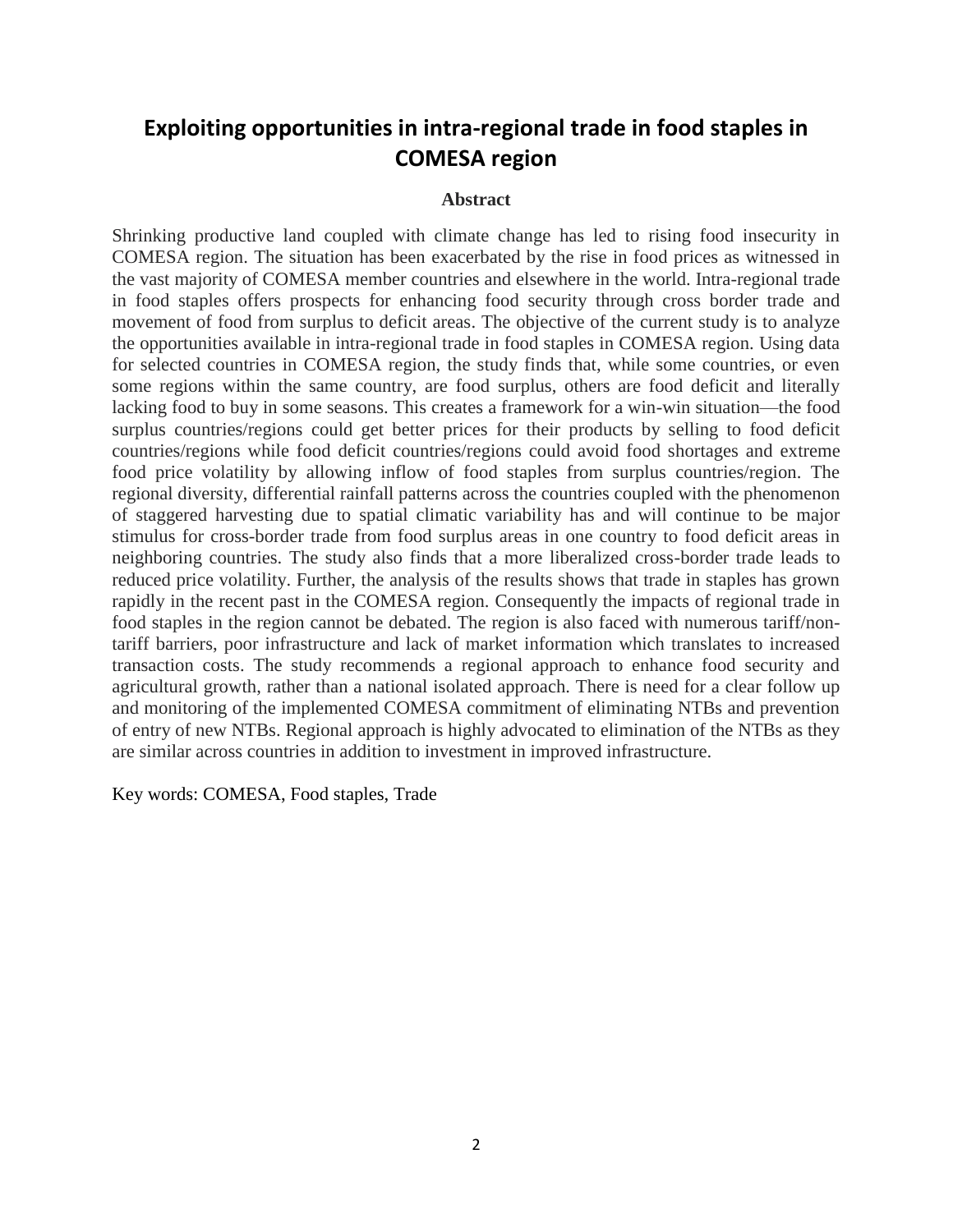# **Exploiting opportunities in intra-regional trade in food staples in COMESA region**

#### **Abstract**

Shrinking productive land coupled with climate change has led to rising food insecurity in COMESA region. The situation has been exacerbated by the rise in food prices as witnessed in the vast majority of COMESA member countries and elsewhere in the world. Intra-regional trade in food staples offers prospects for enhancing food security through cross border trade and movement of food from surplus to deficit areas. The objective of the current study is to analyze the opportunities available in intra-regional trade in food staples in COMESA region. Using data for selected countries in COMESA region, the study finds that, while some countries, or even some regions within the same country, are food surplus, others are food deficit and literally lacking food to buy in some seasons. This creates a framework for a win-win situation—the food surplus countries/regions could get better prices for their products by selling to food deficit countries/regions while food deficit countries/regions could avoid food shortages and extreme food price volatility by allowing inflow of food staples from surplus countries/region. The regional diversity, differential rainfall patterns across the countries coupled with the phenomenon of staggered harvesting due to spatial climatic variability has and will continue to be major stimulus for cross-border trade from food surplus areas in one country to food deficit areas in neighboring countries. The study also finds that a more liberalized cross-border trade leads to reduced price volatility. Further, the analysis of the results shows that trade in staples has grown rapidly in the recent past in the COMESA region. Consequently the impacts of regional trade in food staples in the region cannot be debated. The region is also faced with numerous tariff/nontariff barriers, poor infrastructure and lack of market information which translates to increased transaction costs. The study recommends a regional approach to enhance food security and agricultural growth, rather than a national isolated approach. There is need for a clear follow up and monitoring of the implemented COMESA commitment of eliminating NTBs and prevention of entry of new NTBs. Regional approach is highly advocated to elimination of the NTBs as they are similar across countries in addition to investment in improved infrastructure.

Key words: COMESA, Food staples, Trade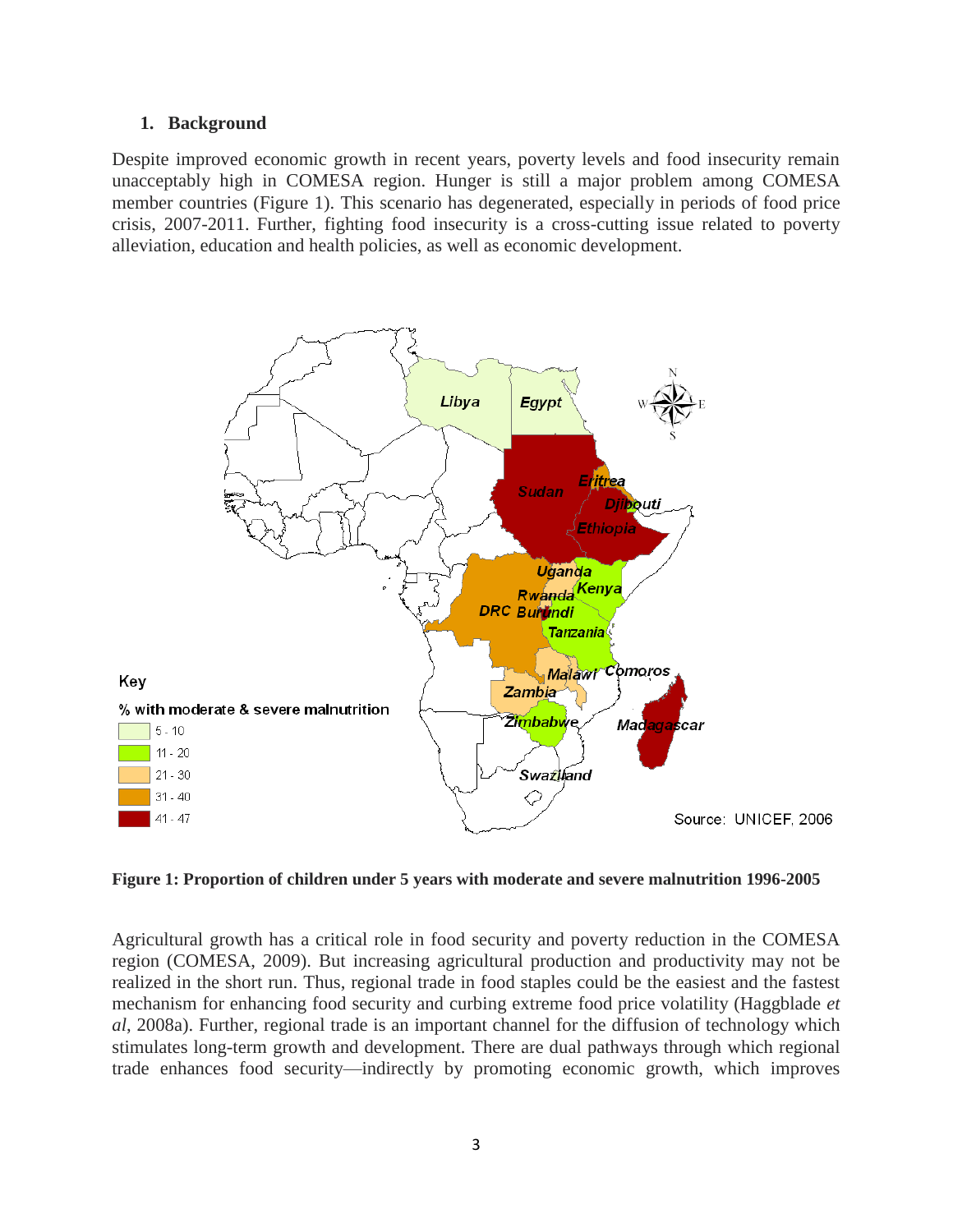#### **1. Background**

Despite improved economic growth in recent years, poverty levels and food insecurity remain unacceptably high in COMESA region. Hunger is still a major problem among COMESA member countries (Figure 1). This scenario has degenerated, especially in periods of food price crisis, 2007-2011. Further, fighting food insecurity is a cross-cutting issue related to poverty alleviation, education and health policies, as well as economic development.



**Figure 1: Proportion of children under 5 years with moderate and severe malnutrition 1996-2005** 

Agricultural growth has a critical role in food security and poverty reduction in the COMESA region (COMESA, 2009). But increasing agricultural production and productivity may not be realized in the short run. Thus, regional trade in food staples could be the easiest and the fastest mechanism for enhancing food security and curbing extreme food price volatility (Haggblade *et al*, 2008a). Further, regional trade is an important channel for the diffusion of technology which stimulates long-term growth and development. There are dual pathways through which regional trade enhances food security—indirectly by promoting economic growth, which improves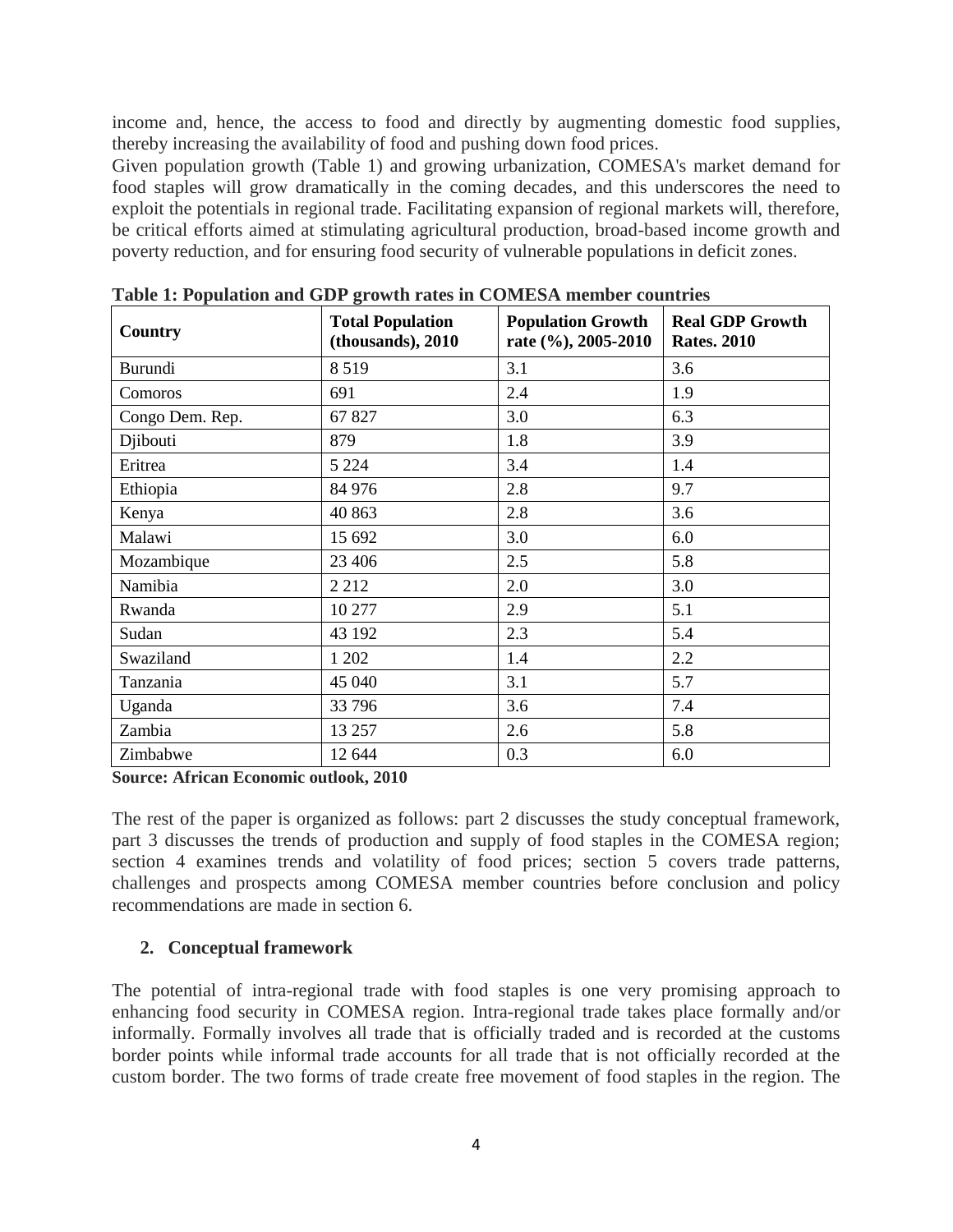income and, hence, the access to food and directly by augmenting domestic food supplies, thereby increasing the availability of food and pushing down food prices.

Given population growth (Table 1) and growing urbanization, COMESA's market demand for food staples will grow dramatically in the coming decades, and this underscores the need to exploit the potentials in regional trade. Facilitating expansion of regional markets will, therefore, be critical efforts aimed at stimulating agricultural production, broad-based income growth and poverty reduction, and for ensuring food security of vulnerable populations in deficit zones.

| Country         | <b>Total Population</b><br>(thousands), 2010 | <b>Population Growth</b><br>rate (%), 2005-2010 | <b>Real GDP Growth</b><br><b>Rates. 2010</b> |  |  |
|-----------------|----------------------------------------------|-------------------------------------------------|----------------------------------------------|--|--|
| Burundi         | 8519                                         | 3.1                                             | 3.6                                          |  |  |
| Comoros         | 691                                          | 2.4                                             | 1.9                                          |  |  |
| Congo Dem. Rep. | 67 827                                       | 3.0                                             | 6.3                                          |  |  |
| Djibouti        | 879                                          | 1.8                                             | 3.9                                          |  |  |
| Eritrea         | 5 2 2 4                                      | 3.4                                             | 1.4                                          |  |  |
| Ethiopia        | 84 976                                       | 2.8                                             | 9.7                                          |  |  |
| Kenya           | 40 863                                       | 2.8                                             | 3.6                                          |  |  |
| Malawi          | 15 692                                       | 3.0                                             | 6.0                                          |  |  |
| Mozambique      | 23 406                                       | 2.5                                             | 5.8                                          |  |  |
| Namibia         | 2 2 1 2                                      | 2.0                                             | 3.0                                          |  |  |
| Rwanda          | 10 277                                       | 2.9                                             | 5.1                                          |  |  |
| Sudan           | 43 192                                       | 2.3                                             | 5.4                                          |  |  |
| Swaziland       | 1 202                                        | 1.4                                             | 2.2                                          |  |  |
| Tanzania        | 45 040                                       | 3.1                                             | 5.7                                          |  |  |
| Uganda          | 33 796                                       | 3.6                                             | 7.4                                          |  |  |
| Zambia          | 13 257                                       | 2.6                                             | 5.8                                          |  |  |
| Zimbabwe        | 12 644                                       | 0.3                                             | 6.0                                          |  |  |

**Table 1: Population and GDP growth rates in COMESA member countries**

**Source: African Economic outlook, 2010**

The rest of the paper is organized as follows: part 2 discusses the study conceptual framework, part 3 discusses the trends of production and supply of food staples in the COMESA region; section 4 examines trends and volatility of food prices; section 5 covers trade patterns, challenges and prospects among COMESA member countries before conclusion and policy recommendations are made in section 6.

### **2. Conceptual framework**

The potential of intra-regional trade with food staples is one very promising approach to enhancing food security in COMESA region. Intra-regional trade takes place formally and/or informally. Formally involves all trade that is officially traded and is recorded at the customs border points while informal trade accounts for all trade that is not officially recorded at the custom border. The two forms of trade create free movement of food staples in the region. The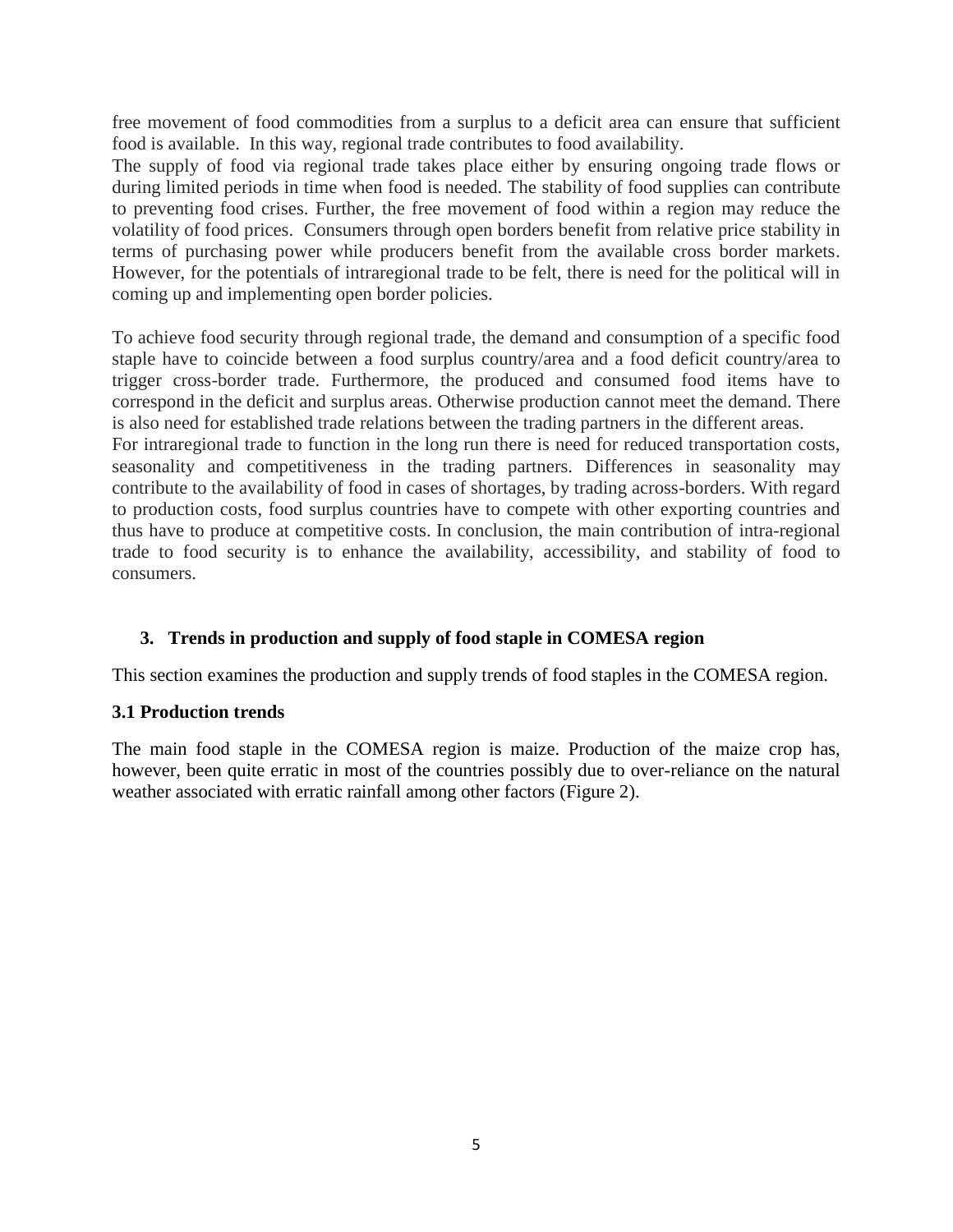free movement of food commodities from a surplus to a deficit area can ensure that sufficient food is available. In this way, regional trade contributes to food availability.

The supply of food via regional trade takes place either by ensuring ongoing trade flows or during limited periods in time when food is needed. The stability of food supplies can contribute to preventing food crises. Further, the free movement of food within a region may reduce the volatility of food prices. Consumers through open borders benefit from relative price stability in terms of purchasing power while producers benefit from the available cross border markets. However, for the potentials of intraregional trade to be felt, there is need for the political will in coming up and implementing open border policies.

To achieve food security through regional trade, the demand and consumption of a specific food staple have to coincide between a food surplus country/area and a food deficit country/area to trigger cross-border trade. Furthermore, the produced and consumed food items have to correspond in the deficit and surplus areas. Otherwise production cannot meet the demand. There is also need for established trade relations between the trading partners in the different areas.

For intraregional trade to function in the long run there is need for reduced transportation costs, seasonality and competitiveness in the trading partners. Differences in seasonality may contribute to the availability of food in cases of shortages, by trading across-borders. With regard to production costs, food surplus countries have to compete with other exporting countries and thus have to produce at competitive costs. In conclusion, the main contribution of intra-regional trade to food security is to enhance the availability, accessibility, and stability of food to consumers.

### **3. Trends in production and supply of food staple in COMESA region**

This section examines the production and supply trends of food staples in the COMESA region.

### **3.1 Production trends**

The main food staple in the COMESA region is maize. Production of the maize crop has, however, been quite erratic in most of the countries possibly due to over-reliance on the natural weather associated with erratic rainfall among other factors (Figure 2).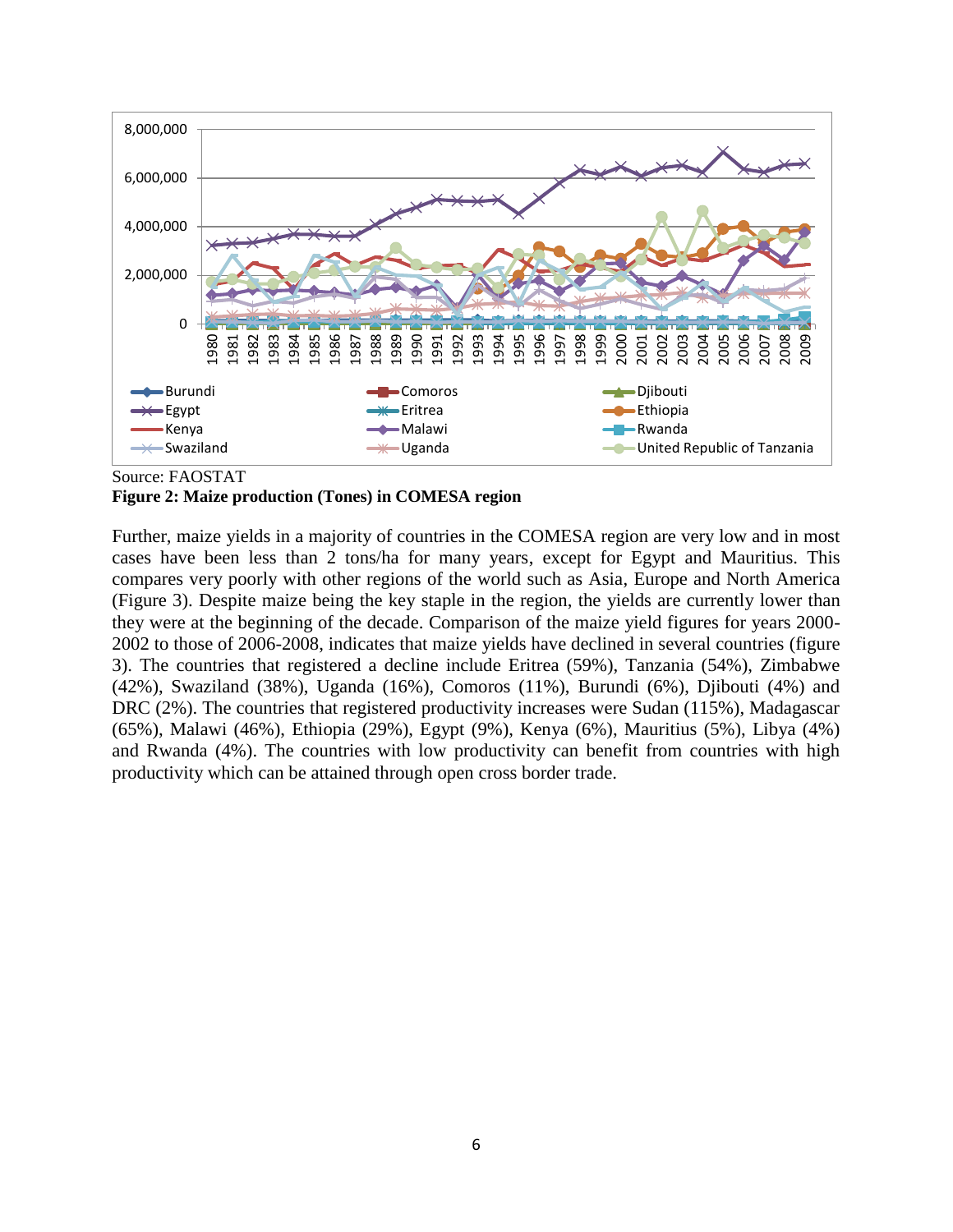

Source: FAOSTAT

#### **Figure 2: Maize production (Tones) in COMESA region**

Further, maize yields in a majority of countries in the COMESA region are very low and in most cases have been less than 2 tons/ha for many years, except for Egypt and Mauritius. This compares very poorly with other regions of the world such as Asia, Europe and North America (Figure 3). Despite maize being the key staple in the region, the yields are currently lower than they were at the beginning of the decade. Comparison of the maize yield figures for years 2000- 2002 to those of 2006-2008, indicates that maize yields have declined in several countries (figure 3). The countries that registered a decline include Eritrea (59%), Tanzania (54%), Zimbabwe (42%), Swaziland (38%), Uganda (16%), Comoros (11%), Burundi (6%), Djibouti (4%) and DRC (2%). The countries that registered productivity increases were Sudan (115%), Madagascar (65%), Malawi (46%), Ethiopia (29%), Egypt (9%), Kenya (6%), Mauritius (5%), Libya (4%) and Rwanda (4%). The countries with low productivity can benefit from countries with high productivity which can be attained through open cross border trade.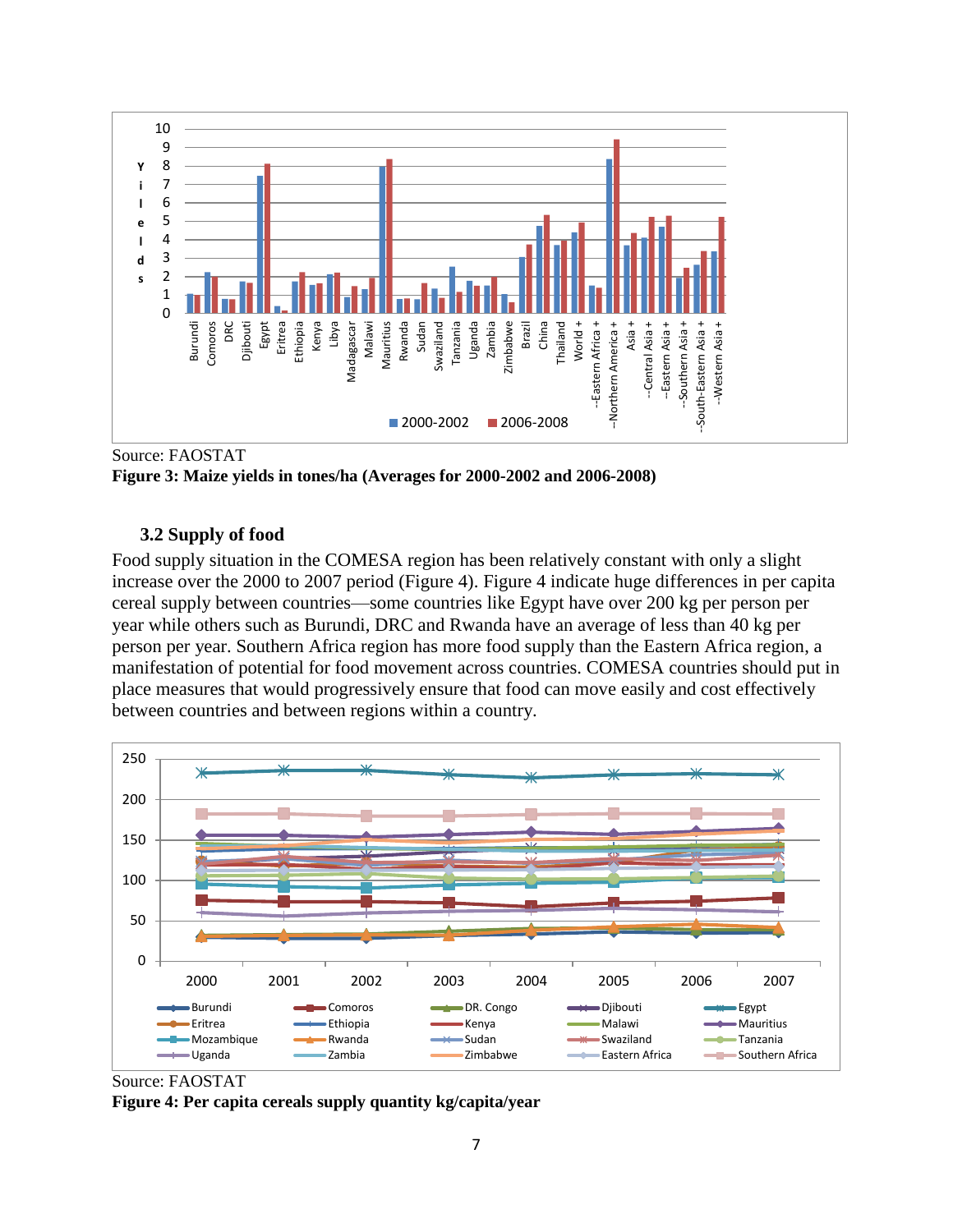

Source: FAOSTAT

**Figure 3: Maize yields in tones/ha (Averages for 2000-2002 and 2006-2008)**

### **3.2 Supply of food**

Food supply situation in the COMESA region has been relatively constant with only a slight increase over the 2000 to 2007 period (Figure 4). Figure 4 indicate huge differences in per capita cereal supply between countries—some countries like Egypt have over 200 kg per person per year while others such as Burundi, DRC and Rwanda have an average of less than 40 kg per person per year. Southern Africa region has more food supply than the Eastern Africa region, a manifestation of potential for food movement across countries. COMESA countries should put in place measures that would progressively ensure that food can move easily and cost effectively between countries and between regions within a country.



Source: FAOSTAT **Figure 4: Per capita cereals supply quantity kg/capita/year**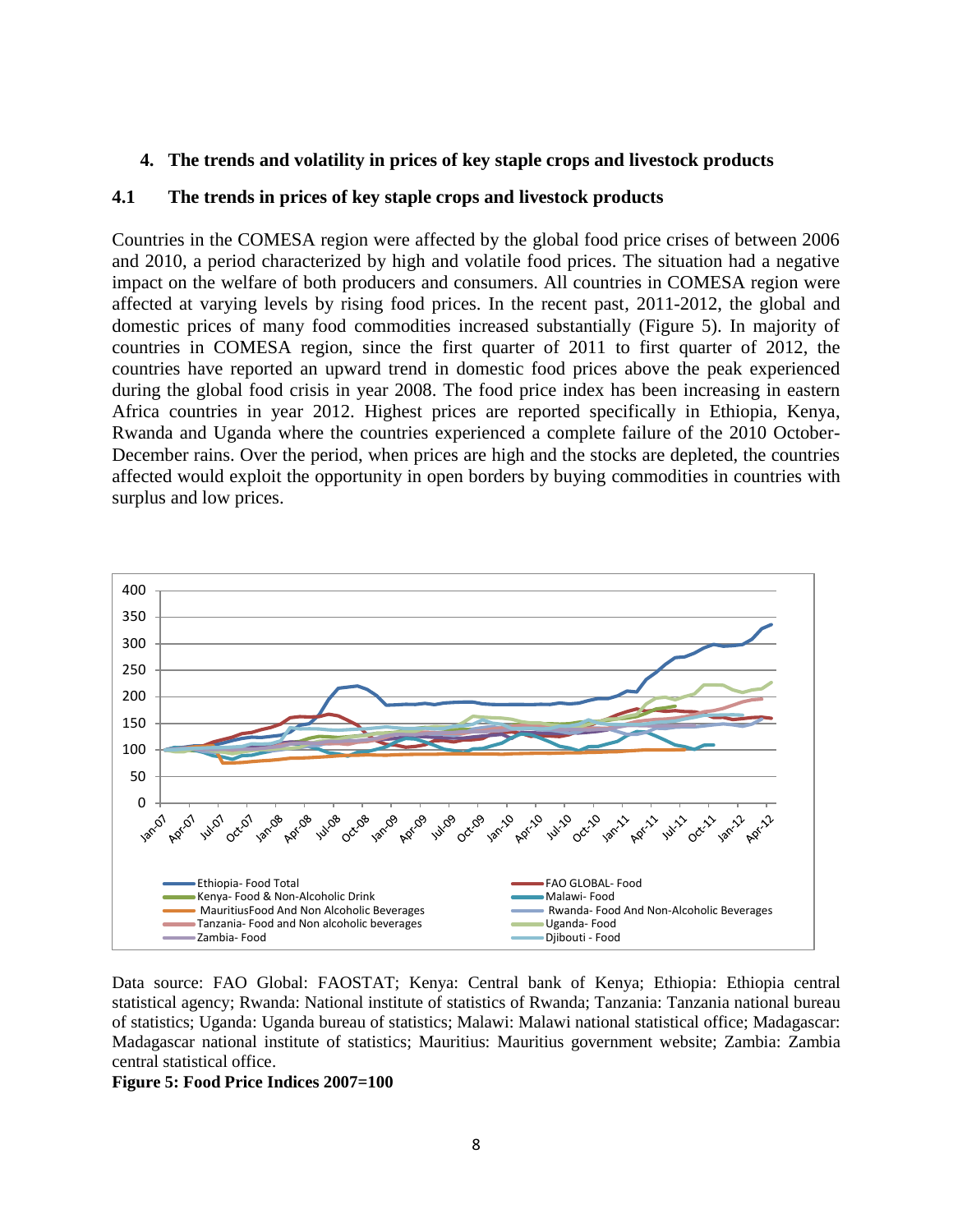#### **4. The trends and volatility in prices of key staple crops and livestock products**

#### **4.1 The trends in prices of key staple crops and livestock products**

Countries in the COMESA region were affected by the global food price crises of between 2006 and 2010, a period characterized by high and volatile food prices. The situation had a negative impact on the welfare of both producers and consumers. All countries in COMESA region were affected at varying levels by rising food prices. In the recent past, 2011-2012, the global and domestic prices of many food commodities increased substantially (Figure 5). In majority of countries in COMESA region, since the first quarter of 2011 to first quarter of 2012, the countries have reported an upward trend in domestic food prices above the peak experienced during the global food crisis in year 2008. The food price index has been increasing in eastern Africa countries in year 2012. Highest prices are reported specifically in Ethiopia, Kenya, Rwanda and Uganda where the countries experienced a complete failure of the 2010 October-December rains. Over the period, when prices are high and the stocks are depleted, the countries affected would exploit the opportunity in open borders by buying commodities in countries with surplus and low prices.



Data source: FAO Global: FAOSTAT; Kenya: Central bank of Kenya; Ethiopia: Ethiopia central statistical agency; Rwanda: National institute of statistics of Rwanda; Tanzania: Tanzania national bureau of statistics; Uganda: Uganda bureau of statistics; Malawi: Malawi national statistical office; Madagascar: Madagascar national institute of statistics; Mauritius: Mauritius government website; Zambia: Zambia central statistical office.

#### **Figure 5: Food Price Indices 2007=100**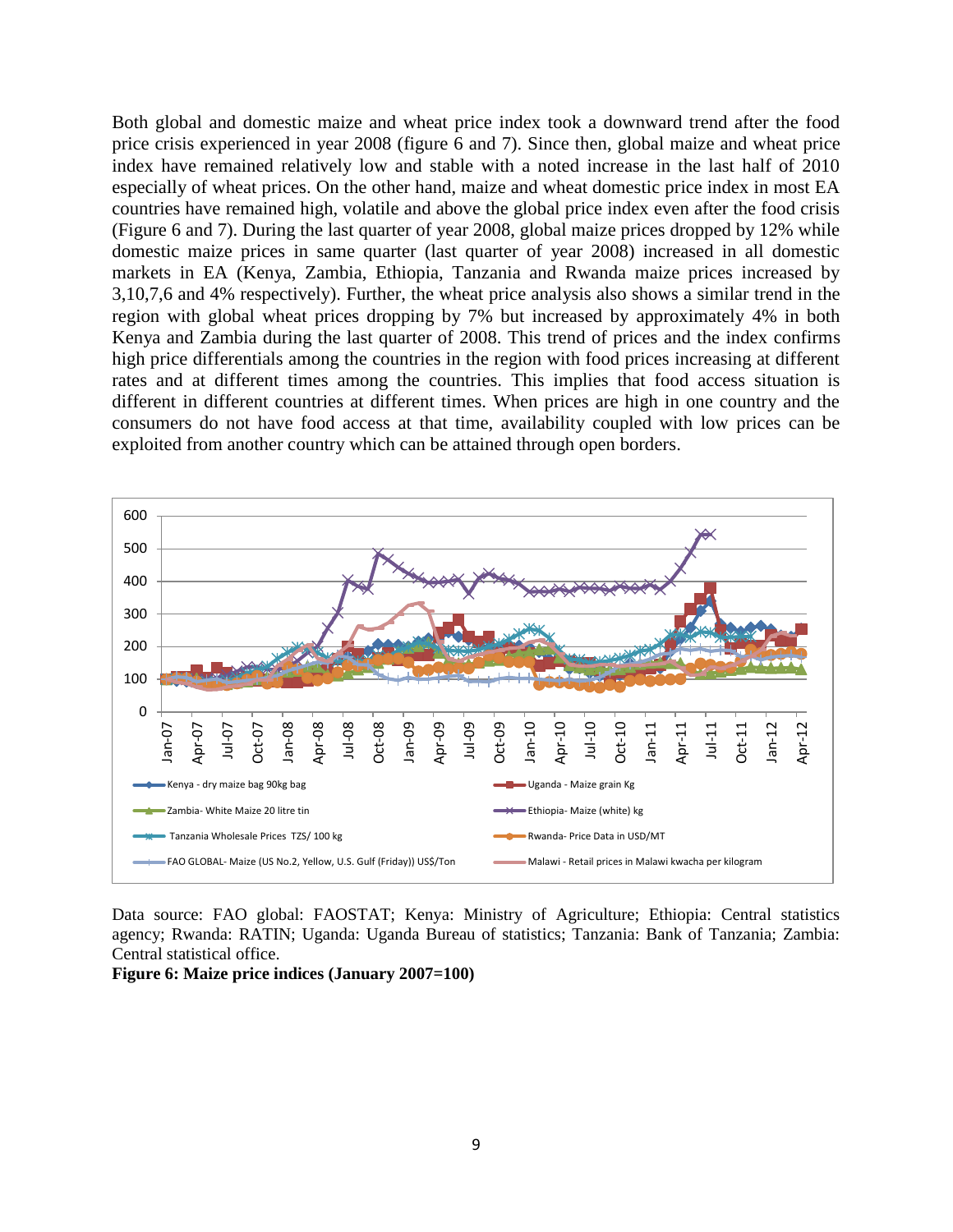Both global and domestic maize and wheat price index took a downward trend after the food price crisis experienced in year 2008 (figure 6 and 7). Since then, global maize and wheat price index have remained relatively low and stable with a noted increase in the last half of 2010 especially of wheat prices. On the other hand, maize and wheat domestic price index in most EA countries have remained high, volatile and above the global price index even after the food crisis (Figure 6 and 7). During the last quarter of year 2008, global maize prices dropped by 12% while domestic maize prices in same quarter (last quarter of year 2008) increased in all domestic markets in EA (Kenya, Zambia, Ethiopia, Tanzania and Rwanda maize prices increased by 3,10,7,6 and 4% respectively). Further, the wheat price analysis also shows a similar trend in the region with global wheat prices dropping by 7% but increased by approximately 4% in both Kenya and Zambia during the last quarter of 2008. This trend of prices and the index confirms high price differentials among the countries in the region with food prices increasing at different rates and at different times among the countries. This implies that food access situation is different in different countries at different times. When prices are high in one country and the consumers do not have food access at that time, availability coupled with low prices can be exploited from another country which can be attained through open borders.



Data source: FAO global: FAOSTAT; Kenya: Ministry of Agriculture; Ethiopia: Central statistics agency; Rwanda: RATIN; Uganda: Uganda Bureau of statistics; Tanzania: Bank of Tanzania; Zambia: Central statistical office.

#### **Figure 6: Maize price indices (January 2007=100)**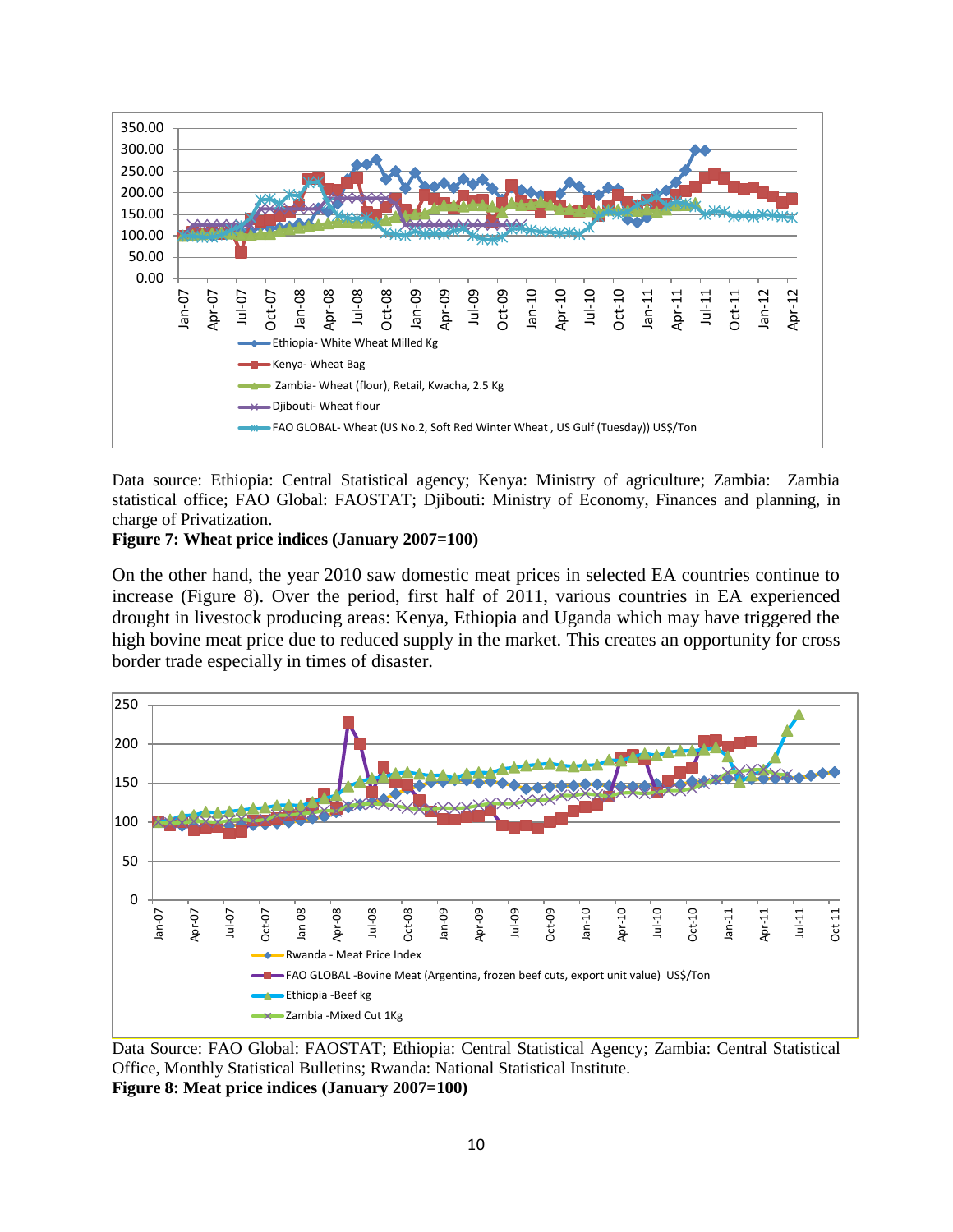

Data source: Ethiopia: Central Statistical agency; Kenya: Ministry of agriculture; Zambia: Zambia statistical office; FAO Global: FAOSTAT; Djibouti: Ministry of Economy, Finances and planning, in charge of Privatization.

#### **Figure 7: Wheat price indices (January 2007=100)**

On the other hand, the year 2010 saw domestic meat prices in selected EA countries continue to increase (Figure 8). Over the period, first half of 2011, various countries in EA experienced drought in livestock producing areas: Kenya, Ethiopia and Uganda which may have triggered the high bovine meat price due to reduced supply in the market. This creates an opportunity for cross border trade especially in times of disaster.



Data Source: FAO Global: FAOSTAT; Ethiopia: Central Statistical Agency; Zambia: Central Statistical Office, Monthly Statistical Bulletins; Rwanda: National Statistical Institute. **Figure 8: Meat price indices (January 2007=100)**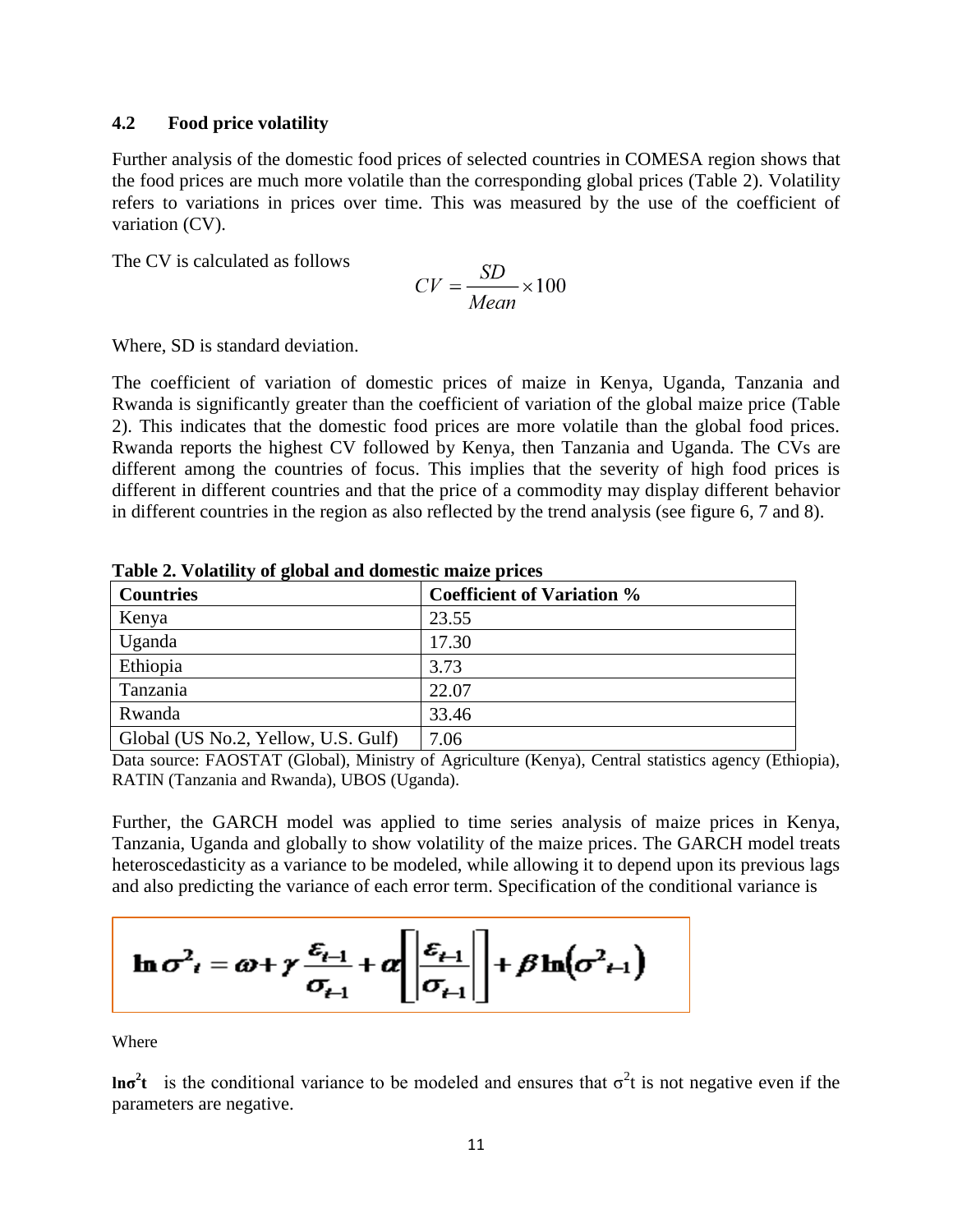### **4.2 Food price volatility**

Further analysis of the domestic food prices of selected countries in COMESA region shows that the food prices are much more volatile than the corresponding global prices (Table 2). Volatility refers to variations in prices over time. This was measured by the use of the coefficient of variation (CV).

The CV is calculated as follows

$$
CV = \frac{SD}{Mean} \times 100
$$

Where, SD is standard deviation.

The coefficient of variation of domestic prices of maize in Kenya, Uganda, Tanzania and Rwanda is significantly greater than the coefficient of variation of the global maize price (Table 2). This indicates that the domestic food prices are more volatile than the global food prices. Rwanda reports the highest CV followed by Kenya, then Tanzania and Uganda. The CVs are different among the countries of focus. This implies that the severity of high food prices is different in different countries and that the price of a commodity may display different behavior in different countries in the region as also reflected by the trend analysis (see figure 6, 7 and 8).

| <b>Countries</b>                    | <b>Coefficient of Variation %</b> |
|-------------------------------------|-----------------------------------|
| Kenya                               | 23.55                             |
| Uganda                              | 17.30                             |
| Ethiopia                            | 3.73                              |
| Tanzania                            | 22.07                             |
| Rwanda                              | 33.46                             |
| Global (US No.2, Yellow, U.S. Gulf) | 7.06                              |

**Table 2. Volatility of global and domestic maize prices**

Data source: FAOSTAT (Global), Ministry of Agriculture (Kenya), Central statistics agency (Ethiopia), RATIN (Tanzania and Rwanda), UBOS (Uganda).

Further, the GARCH model was applied to time series analysis of maize prices in Kenya, Tanzania, Uganda and globally to show volatility of the maize prices. The GARCH model treats heteroscedasticity as a variance to be modeled, while allowing it to depend upon its previous lags and also predicting the variance of each error term. Specification of the conditional variance is

$$
\ln \sigma_{t}^{2} = \omega + \gamma \frac{\varepsilon_{t-1}}{\sigma_{t-1}} + \alpha \left[ \left| \frac{\varepsilon_{t-1}}{\sigma_{t-1}} \right| \right] + \beta \ln(\sigma_{t-1}^{2})
$$

Where

**lnσ<sup>2</sup>t** is the conditional variance to be modeled and ensures that σ<sup>2</sup>t is not negative even if the parameters are negative.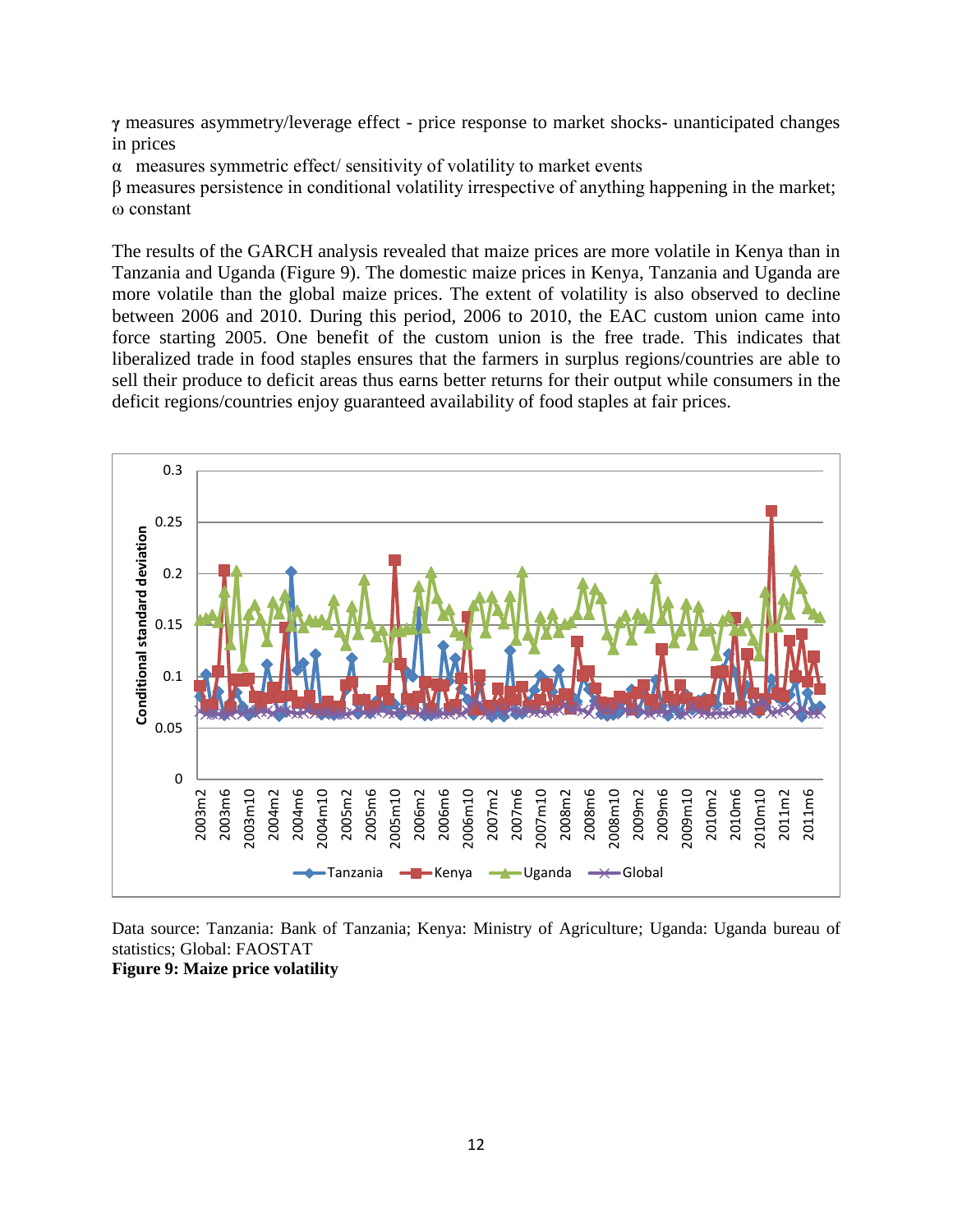**γ** measures asymmetry/leverage effect - price response to market shocks- unanticipated changes in prices

 $\alpha$  measures symmetric effect/ sensitivity of volatility to market events

β measures persistence in conditional volatility irrespective of anything happening in the market; ω constant

The results of the GARCH analysis revealed that maize prices are more volatile in Kenya than in Tanzania and Uganda (Figure 9). The domestic maize prices in Kenya, Tanzania and Uganda are more volatile than the global maize prices. The extent of volatility is also observed to decline between 2006 and 2010. During this period, 2006 to 2010, the EAC custom union came into force starting 2005. One benefit of the custom union is the free trade. This indicates that liberalized trade in food staples ensures that the farmers in surplus regions/countries are able to sell their produce to deficit areas thus earns better returns for their output while consumers in the deficit regions/countries enjoy guaranteed availability of food staples at fair prices.



Data source: Tanzania: Bank of Tanzania; Kenya: Ministry of Agriculture; Uganda: Uganda bureau of statistics; Global: FAOSTAT **Figure 9: Maize price volatility**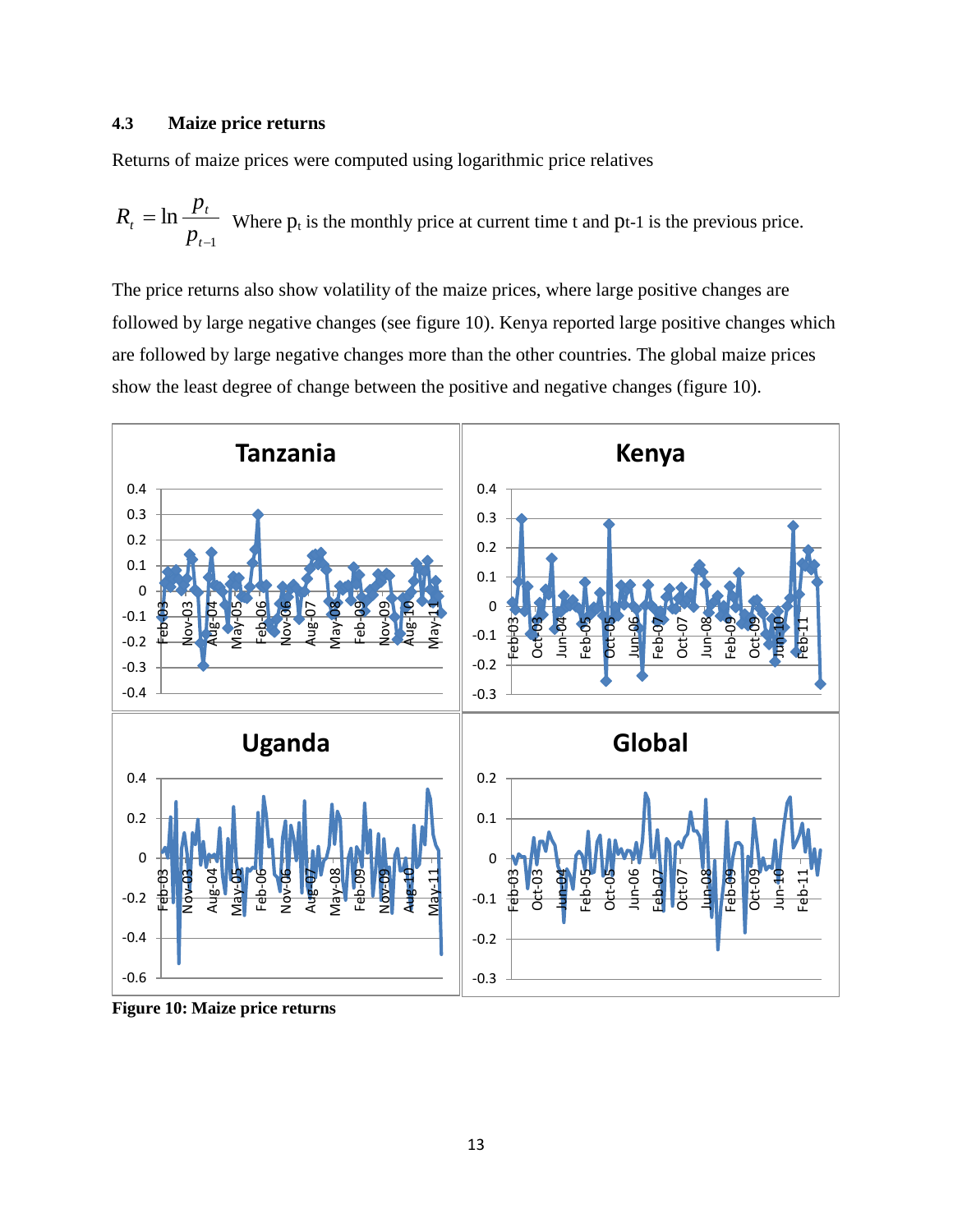### **4.3 Maize price returns**

Returns of maize prices were computed using logarithmic price relatives

$$
R_t = \ln \frac{p_t}{p_{t-1}}
$$
 Where  $p_t$  is the monthly price at current time t and pt-1 is the previous price.

The price returns also show volatility of the maize prices, where large positive changes are followed by large negative changes (see figure 10). Kenya reported large positive changes which are followed by large negative changes more than the other countries. The global maize prices show the least degree of change between the positive and negative changes (figure 10).



**Figure 10: Maize price returns**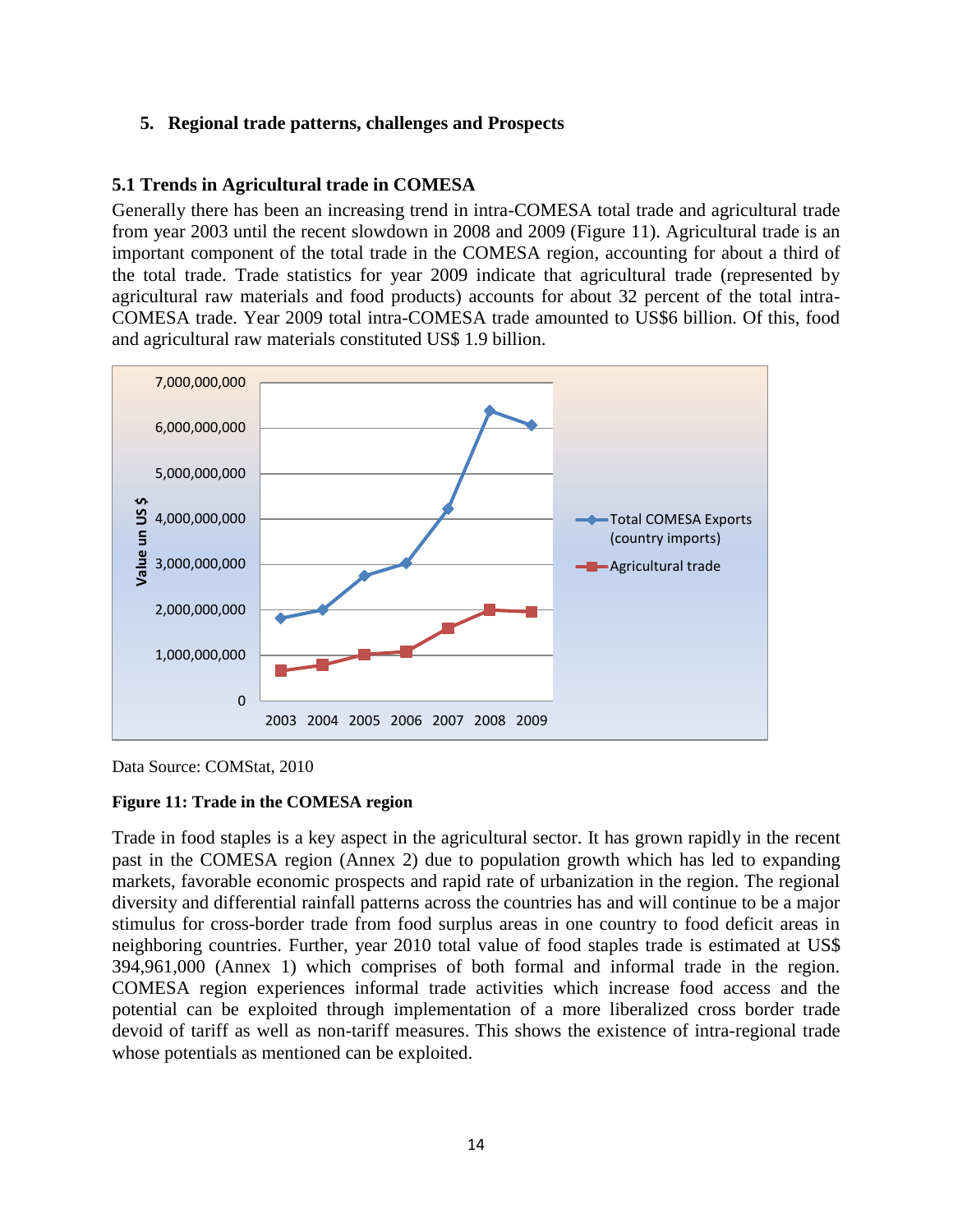#### **5. Regional trade patterns, challenges and Prospects**

### **5.1 Trends in Agricultural trade in COMESA**

Generally there has been an increasing trend in intra-COMESA total trade and agricultural trade from year 2003 until the recent slowdown in 2008 and 2009 (Figure 11). Agricultural trade is an important component of the total trade in the COMESA region, accounting for about a third of the total trade. Trade statistics for year 2009 indicate that agricultural trade (represented by agricultural raw materials and food products) accounts for about 32 percent of the total intra-COMESA trade. Year 2009 total intra-COMESA trade amounted to US\$6 billion. Of this, food and agricultural raw materials constituted US\$ 1.9 billion.



Data Source: COMStat, 2010

#### **Figure 11: Trade in the COMESA region**

Trade in food staples is a key aspect in the agricultural sector. It has grown rapidly in the recent past in the COMESA region (Annex 2) due to population growth which has led to expanding markets, favorable economic prospects and rapid rate of urbanization in the region. The regional diversity and differential rainfall patterns across the countries has and will continue to be a major stimulus for cross-border trade from food surplus areas in one country to food deficit areas in neighboring countries. Further, year 2010 total value of food staples trade is estimated at US\$ 394,961,000 (Annex 1) which comprises of both formal and informal trade in the region. COMESA region experiences informal trade activities which increase food access and the potential can be exploited through implementation of a more liberalized cross border trade devoid of tariff as well as non-tariff measures. This shows the existence of intra-regional trade whose potentials as mentioned can be exploited.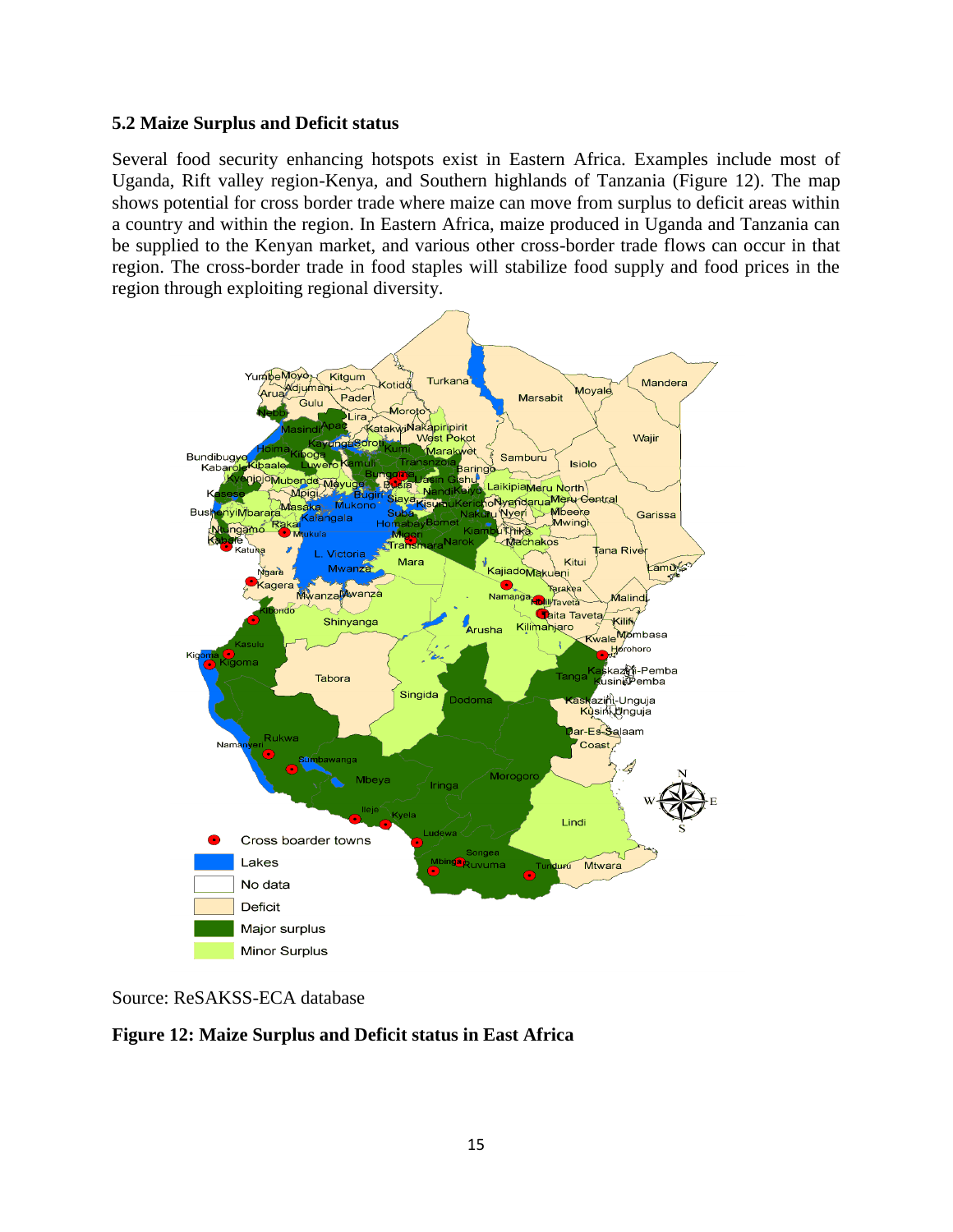### **5.2 Maize Surplus and Deficit status**

Several food security enhancing hotspots exist in Eastern Africa. Examples include most of Uganda, Rift valley region-Kenya, and Southern highlands of Tanzania (Figure 12). The map shows potential for cross border trade where maize can move from surplus to deficit areas within a country and within the region. In Eastern Africa, maize produced in Uganda and Tanzania can be supplied to the Kenyan market, and various other cross-border trade flows can occur in that region. The cross-border trade in food staples will stabilize food supply and food prices in the region through exploiting regional diversity.



Source: ReSAKSS-ECA database

**Figure 12: Maize Surplus and Deficit status in East Africa**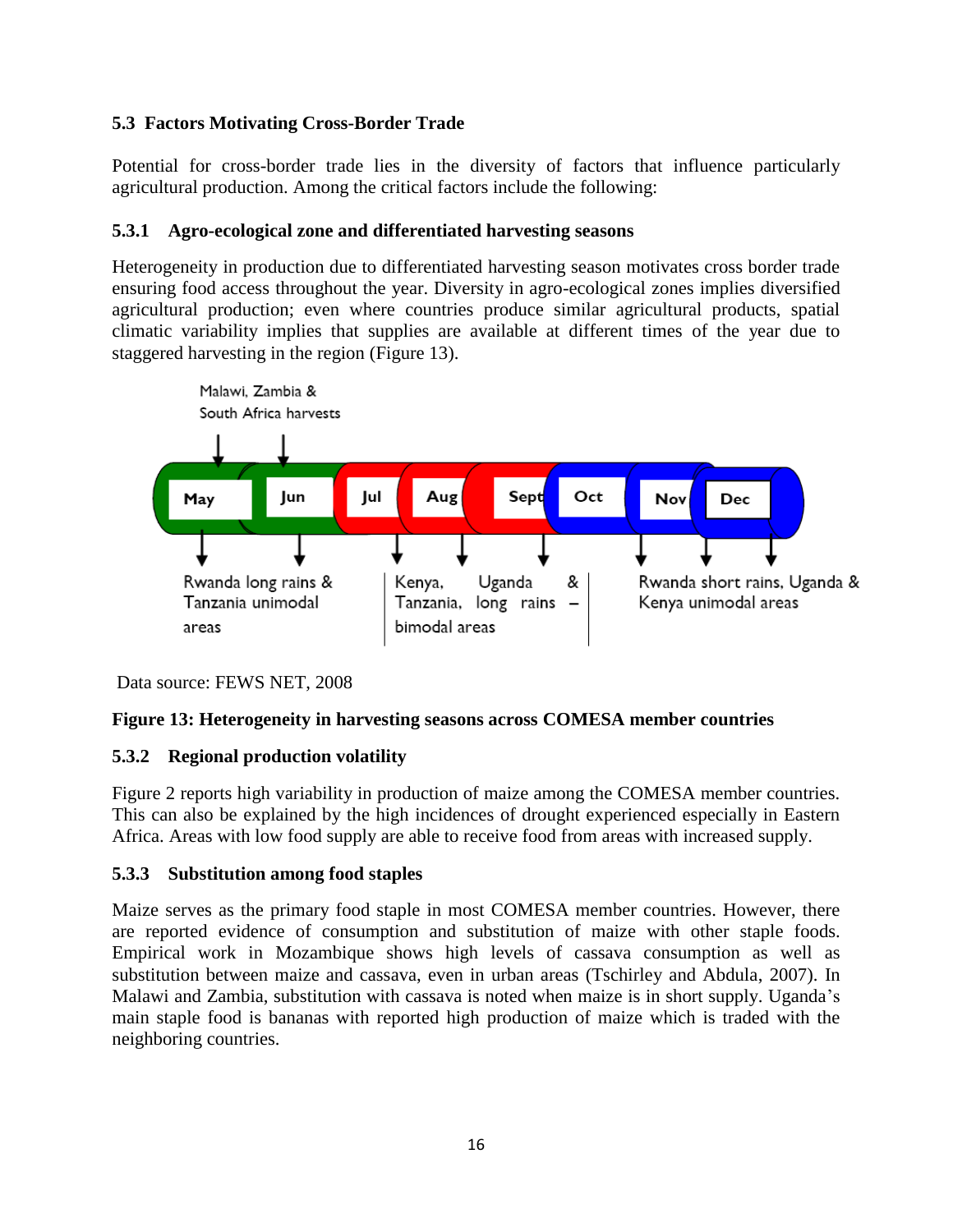## **5.3 Factors Motivating Cross-Border Trade**

Potential for cross-border trade lies in the diversity of factors that influence particularly agricultural production. Among the critical factors include the following:

## **5.3.1 Agro-ecological zone and differentiated harvesting seasons**

Heterogeneity in production due to differentiated harvesting season motivates cross border trade ensuring food access throughout the year. Diversity in agro-ecological zones implies diversified agricultural production; even where countries produce similar agricultural products, spatial climatic variability implies that supplies are available at different times of the year due to staggered harvesting in the region (Figure 13).



Data source: FEWS NET, 2008

### **Figure 13: Heterogeneity in harvesting seasons across COMESA member countries**

### **5.3.2 Regional production volatility**

Figure 2 reports high variability in production of maize among the COMESA member countries. This can also be explained by the high incidences of drought experienced especially in Eastern Africa. Areas with low food supply are able to receive food from areas with increased supply.

### **5.3.3 Substitution among food staples**

Maize serves as the primary food staple in most COMESA member countries. However, there are reported evidence of consumption and substitution of maize with other staple foods. Empirical work in Mozambique shows high levels of cassava consumption as well as substitution between maize and cassava, even in urban areas (Tschirley and Abdula, 2007). In Malawi and Zambia, substitution with cassava is noted when maize is in short supply. Uganda's main staple food is bananas with reported high production of maize which is traded with the neighboring countries.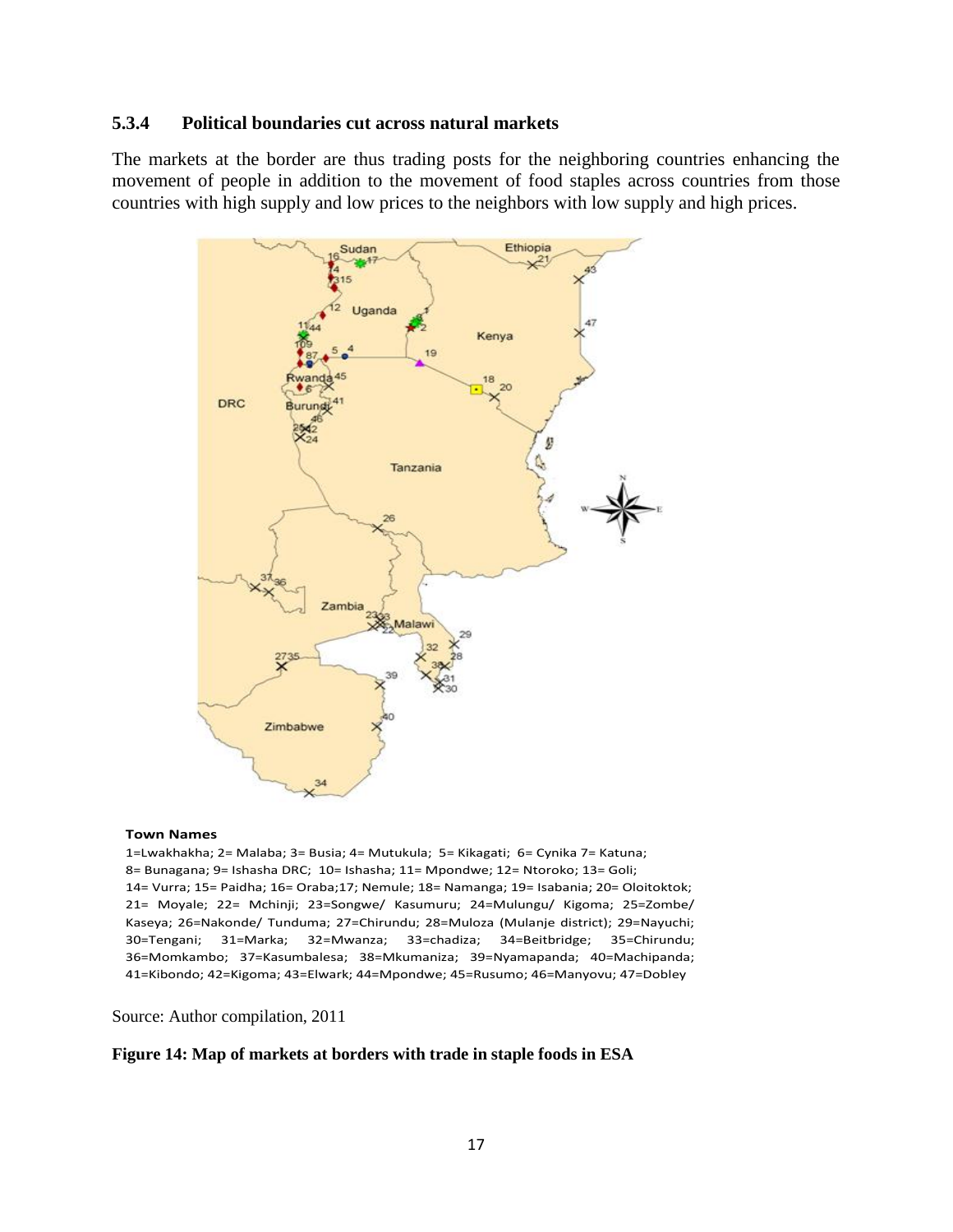#### **5.3.4 Political boundaries cut across natural markets**

The markets at the border are thus trading posts for the neighboring countries enhancing the movement of people in addition to the movement of food staples across countries from those countries with high supply and low prices to the neighbors with low supply and high prices.



#### **Town Names**

1=Lwakhakha; 2= Malaba; 3= Busia; 4= Mutukula; 5= Kikagati; 6= Cynika 7= Katuna; 8= Bunagana; 9= Ishasha DRC; 10= Ishasha; 11= Mpondwe; 12= Ntoroko; 13= Goli; 14= Vurra; 15= Paidha; 16= Oraba;17; Nemule; 18= Namanga; 19= Isabania; 20= Oloitoktok; 21= Moyale; 22= Mchinji; 23=Songwe/ Kasumuru; 24=Mulungu/ Kigoma; 25=Zombe/ Kaseya; 26=Nakonde/ Tunduma; 27=Chirundu; 28=Muloza (Mulanje district); 29=Nayuchi; 30=Tengani; 31=Marka; 32=Mwanza; 33=chadiza; 34=Beitbridge; 35=Chirundu; 36=Momkambo; 37=Kasumbalesa; 38=Mkumaniza; 39=Nyamapanda; 40=Machipanda; 41=Kibondo; 42=Kigoma; 43=Elwark; 44=Mpondwe; 45=Rusumo; 46=Manyovu; 47=Dobley

Source: Author compilation, 2011

#### **Figure 14: Map of markets at borders with trade in staple foods in ESA**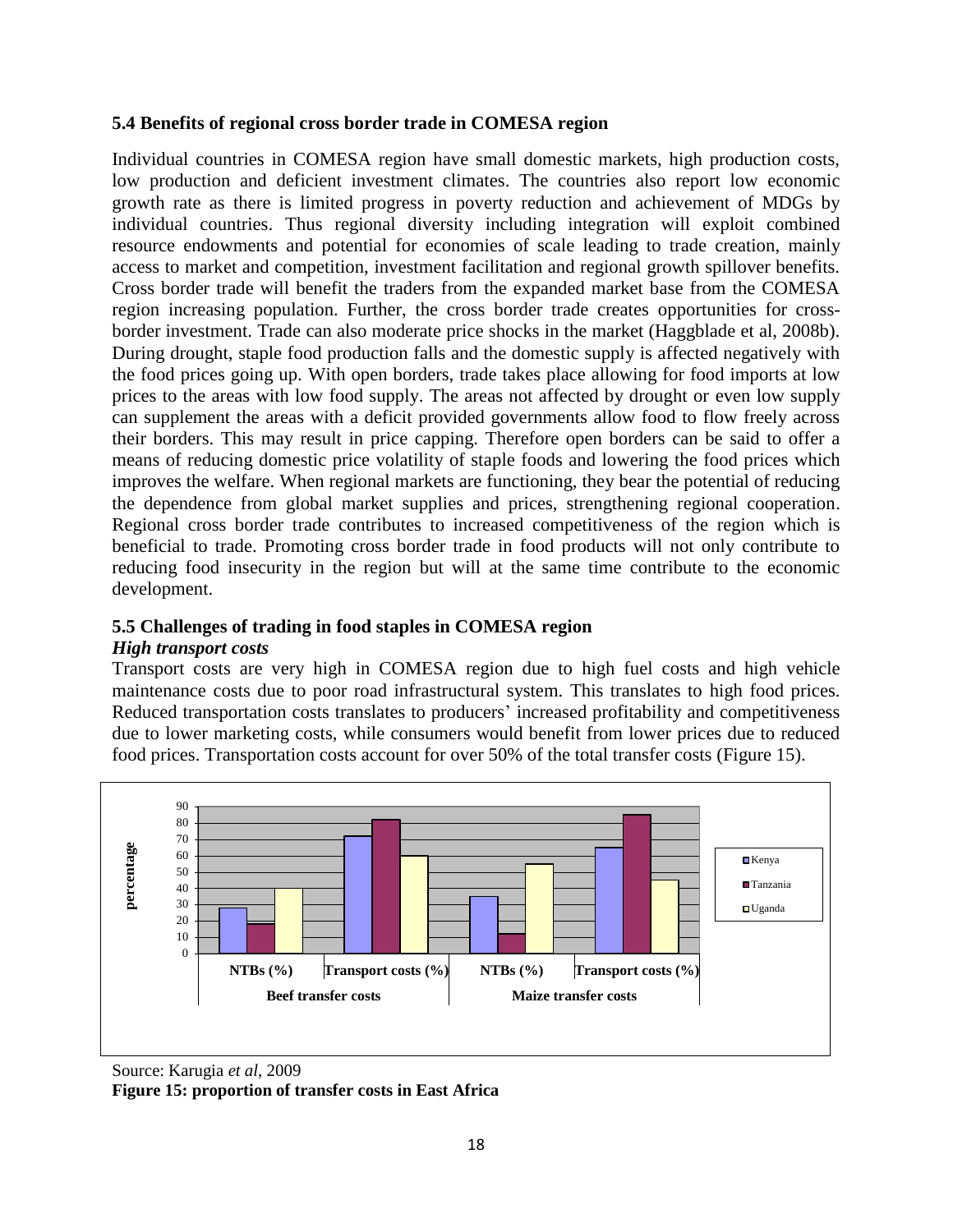### **5.4 Benefits of regional cross border trade in COMESA region**

Individual countries in COMESA region have small domestic markets, high production costs, low production and deficient investment climates. The countries also report low economic growth rate as there is limited progress in poverty reduction and achievement of MDGs by individual countries. Thus regional diversity including integration will exploit combined resource endowments and potential for economies of scale leading to trade creation, mainly access to market and competition, investment facilitation and regional growth spillover benefits. Cross border trade will benefit the traders from the expanded market base from the COMESA region increasing population. Further, the cross border trade creates opportunities for crossborder investment. Trade can also moderate price shocks in the market (Haggblade et al, 2008b). During drought, staple food production falls and the domestic supply is affected negatively with the food prices going up. With open borders, trade takes place allowing for food imports at low prices to the areas with low food supply. The areas not affected by drought or even low supply can supplement the areas with a deficit provided governments allow food to flow freely across their borders. This may result in price capping. Therefore open borders can be said to offer a means of reducing domestic price volatility of staple foods and lowering the food prices which improves the welfare. When regional markets are functioning, they bear the potential of reducing the dependence from global market supplies and prices, strengthening regional cooperation. Regional cross border trade contributes to increased competitiveness of the region which is beneficial to trade. Promoting cross border trade in food products will not only contribute to reducing food insecurity in the region but will at the same time contribute to the economic development.

### **5.5 Challenges of trading in food staples in COMESA region**

#### *High transport costs*

Transport costs are very high in COMESA region due to high fuel costs and high vehicle maintenance costs due to poor road infrastructural system. This translates to high food prices. Reduced transportation costs translates to producers' increased profitability and competitiveness due to lower marketing costs, while consumers would benefit from lower prices due to reduced food prices. Transportation costs account for over 50% of the total transfer costs (Figure 15).



Source: Karugia *et al*, 2009

**Figure 15: proportion of transfer costs in East Africa**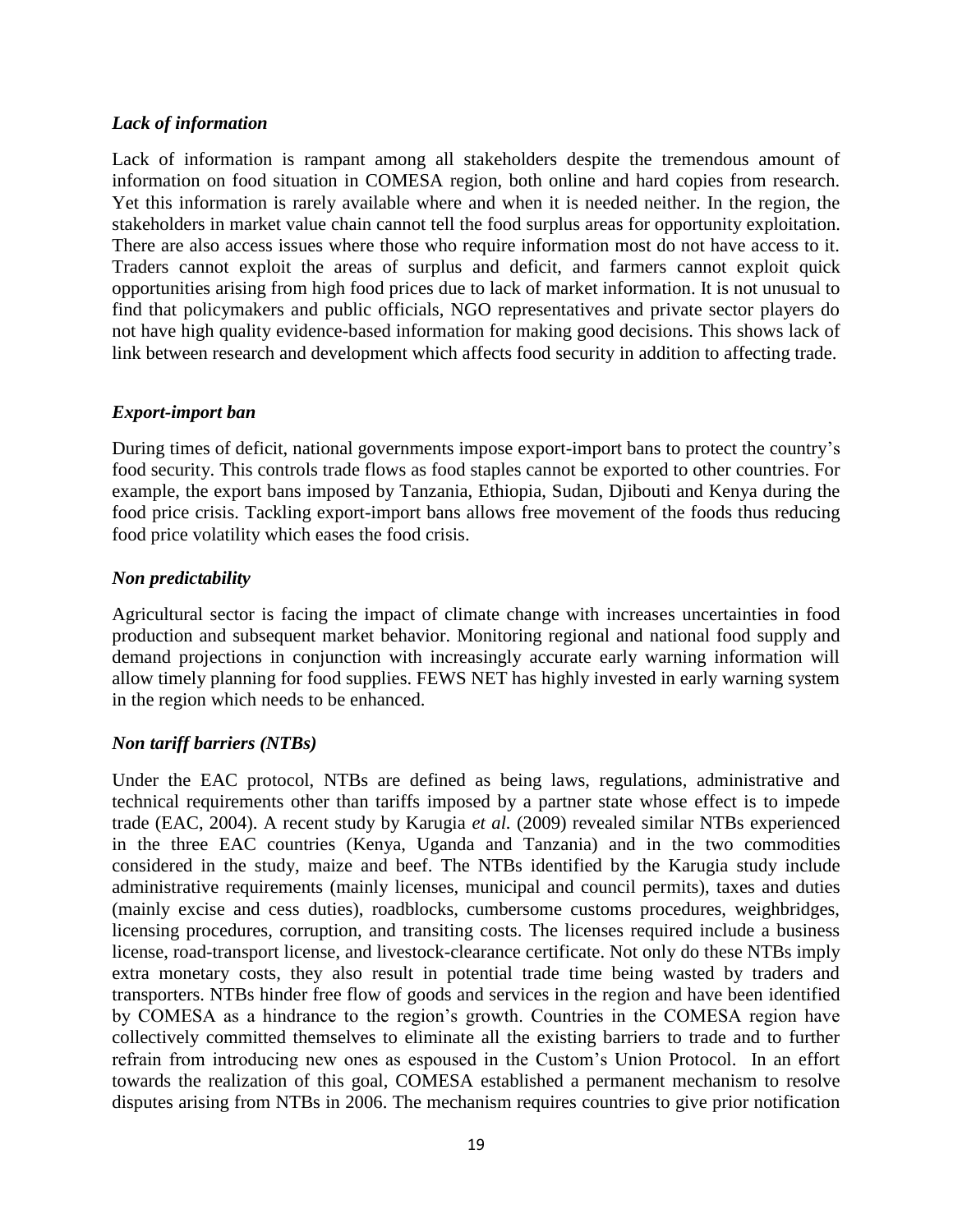### *Lack of information*

Lack of information is rampant among all stakeholders despite the tremendous amount of information on food situation in COMESA region, both online and hard copies from research. Yet this information is rarely available where and when it is needed neither. In the region, the stakeholders in market value chain cannot tell the food surplus areas for opportunity exploitation. There are also access issues where those who require information most do not have access to it. Traders cannot exploit the areas of surplus and deficit, and farmers cannot exploit quick opportunities arising from high food prices due to lack of market information. It is not unusual to find that policymakers and public officials, NGO representatives and private sector players do not have high quality evidence-based information for making good decisions. This shows lack of link between research and development which affects food security in addition to affecting trade.

### *Export-import ban*

During times of deficit, national governments impose export-import bans to protect the country's food security. This controls trade flows as food staples cannot be exported to other countries. For example, the export bans imposed by Tanzania, Ethiopia, Sudan, Djibouti and Kenya during the food price crisis. Tackling export-import bans allows free movement of the foods thus reducing food price volatility which eases the food crisis.

### *Non predictability*

Agricultural sector is facing the impact of climate change with increases uncertainties in food production and subsequent market behavior. Monitoring regional and national food supply and demand projections in conjunction with increasingly accurate early warning information will allow timely planning for food supplies. FEWS NET has highly invested in early warning system in the region which needs to be enhanced.

#### *Non tariff barriers (NTBs)*

Under the EAC protocol, NTBs are defined as being laws, regulations, administrative and technical requirements other than tariffs imposed by a partner state whose effect is to impede trade (EAC, 2004). A recent study by Karugia *et al.* (2009) revealed similar NTBs experienced in the three EAC countries (Kenya, Uganda and Tanzania) and in the two commodities considered in the study, maize and beef. The NTBs identified by the Karugia study include administrative requirements (mainly licenses, municipal and council permits), taxes and duties (mainly excise and cess duties), roadblocks, cumbersome customs procedures, weighbridges, licensing procedures, corruption, and transiting costs. The licenses required include a business license, road-transport license, and livestock-clearance certificate. Not only do these NTBs imply extra monetary costs, they also result in potential trade time being wasted by traders and transporters. NTBs hinder free flow of goods and services in the region and have been identified by COMESA as a hindrance to the region's growth. Countries in the COMESA region have collectively committed themselves to eliminate all the existing barriers to trade and to further refrain from introducing new ones as espoused in the Custom's Union Protocol. In an effort towards the realization of this goal, COMESA established a permanent mechanism to resolve disputes arising from NTBs in 2006. The mechanism requires countries to give prior notification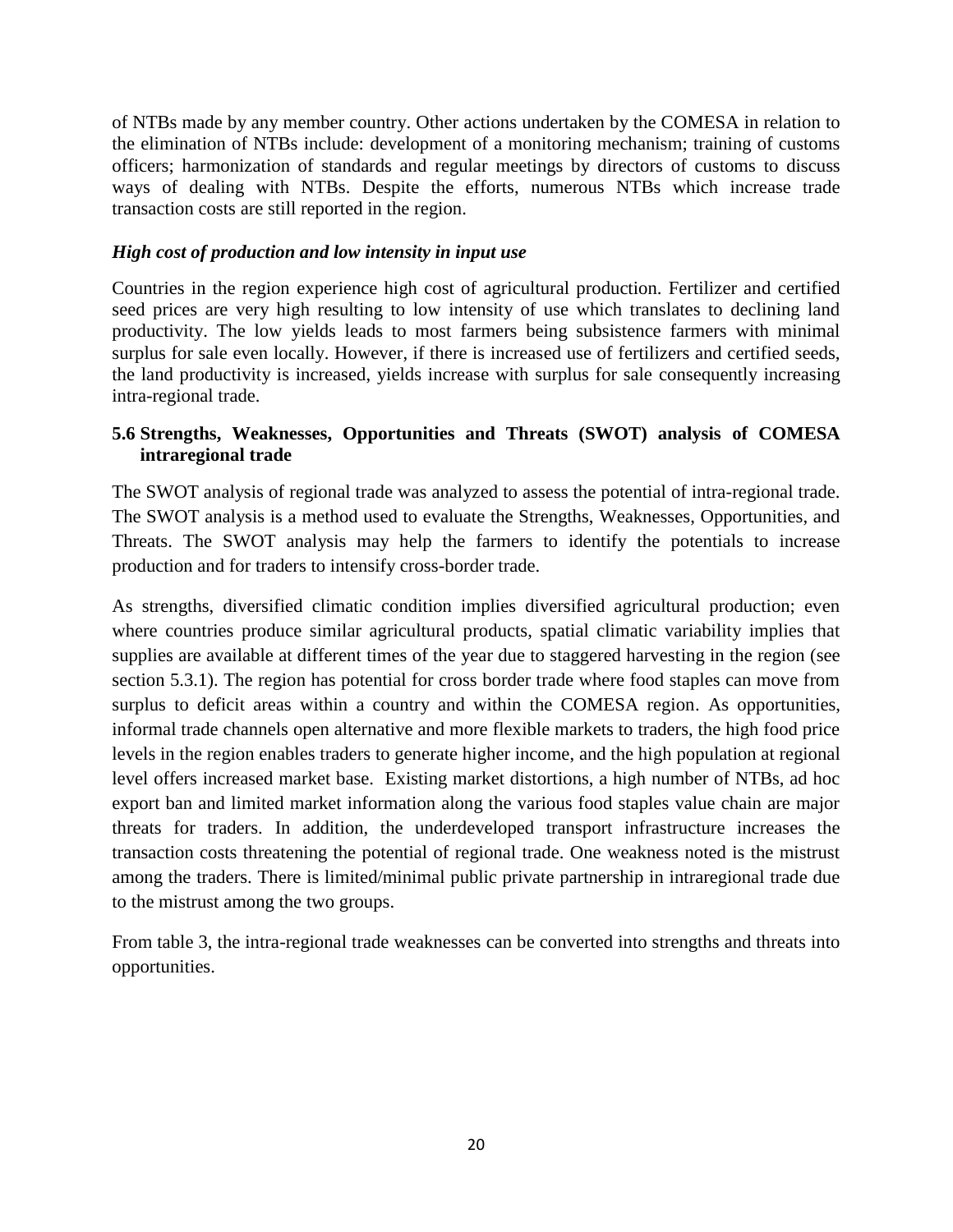of NTBs made by any member country. Other actions undertaken by the COMESA in relation to the elimination of NTBs include: development of a monitoring mechanism; training of customs officers; harmonization of standards and regular meetings by directors of customs to discuss ways of dealing with NTBs. Despite the efforts, numerous NTBs which increase trade transaction costs are still reported in the region.

### *High cost of production and low intensity in input use*

Countries in the region experience high cost of agricultural production. Fertilizer and certified seed prices are very high resulting to low intensity of use which translates to declining land productivity. The low yields leads to most farmers being subsistence farmers with minimal surplus for sale even locally. However, if there is increased use of fertilizers and certified seeds, the land productivity is increased, yields increase with surplus for sale consequently increasing intra-regional trade.

### **5.6 Strengths, Weaknesses, Opportunities and Threats (SWOT) analysis of COMESA intraregional trade**

The SWOT analysis of regional trade was analyzed to assess the potential of intra-regional trade. The SWOT analysis is a method used to evaluate the Strengths, Weaknesses, Opportunities, and Threats. The SWOT analysis may help the farmers to identify the potentials to increase production and for traders to intensify cross-border trade.

As strengths, diversified climatic condition implies diversified agricultural production; even where countries produce similar agricultural products, spatial climatic variability implies that supplies are available at different times of the year due to staggered harvesting in the region (see section 5.3.1). The region has potential for cross border trade where food staples can move from surplus to deficit areas within a country and within the COMESA region. As opportunities, informal trade channels open alternative and more flexible markets to traders, the high food price levels in the region enables traders to generate higher income, and the high population at regional level offers increased market base. Existing market distortions, a high number of NTBs, ad hoc export ban and limited market information along the various food staples value chain are major threats for traders. In addition, the underdeveloped transport infrastructure increases the transaction costs threatening the potential of regional trade. One weakness noted is the mistrust among the traders. There is limited/minimal public private partnership in intraregional trade due to the mistrust among the two groups.

From table 3, the intra-regional trade weaknesses can be converted into strengths and threats into opportunities.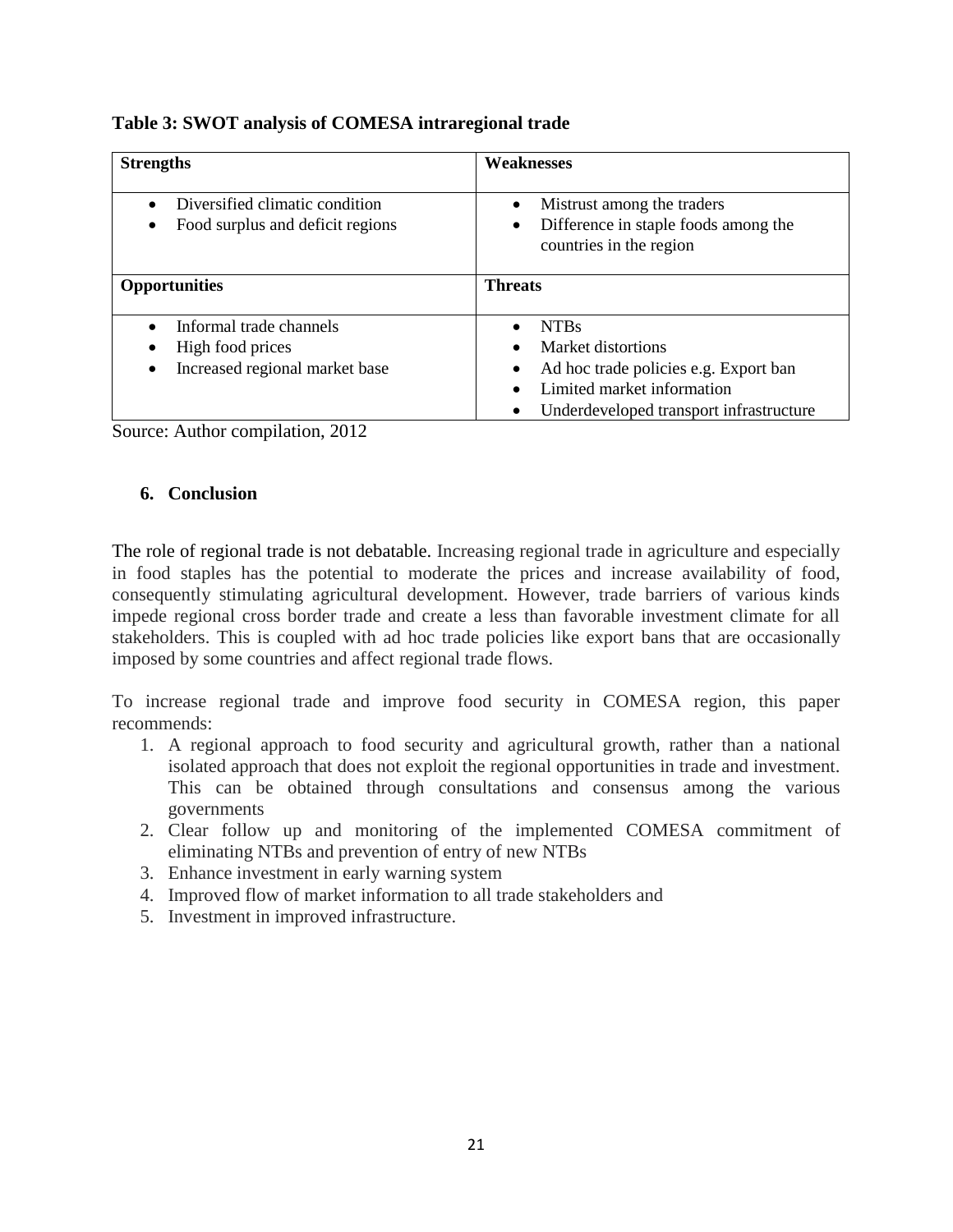**Table 3: SWOT analysis of COMESA intraregional trade**

| <b>Strengths</b>                                                              | <b>Weaknesses</b>                                                                                                                                   |  |  |  |  |  |
|-------------------------------------------------------------------------------|-----------------------------------------------------------------------------------------------------------------------------------------------------|--|--|--|--|--|
| Diversified climatic condition<br>Food surplus and deficit regions            | Mistrust among the traders<br>Difference in staple foods among the<br>countries in the region                                                       |  |  |  |  |  |
| <b>Opportunities</b>                                                          | <b>Threats</b>                                                                                                                                      |  |  |  |  |  |
| Informal trade channels<br>High food prices<br>Increased regional market base | <b>NTBs</b><br>Market distortions<br>Ad hoc trade policies e.g. Export ban<br>Limited market information<br>Underdeveloped transport infrastructure |  |  |  |  |  |

Source: Author compilation, 2012

### **6. Conclusion**

The role of regional trade is not debatable. Increasing regional trade in agriculture and especially in food staples has the potential to moderate the prices and increase availability of food, consequently stimulating agricultural development. However, trade barriers of various kinds impede regional cross border trade and create a less than favorable investment climate for all stakeholders. This is coupled with ad hoc trade policies like export bans that are occasionally imposed by some countries and affect regional trade flows.

To increase regional trade and improve food security in COMESA region, this paper recommends:

- 1. A regional approach to food security and agricultural growth, rather than a national isolated approach that does not exploit the regional opportunities in trade and investment. This can be obtained through consultations and consensus among the various governments
- 2. Clear follow up and monitoring of the implemented COMESA commitment of eliminating NTBs and prevention of entry of new NTBs
- 3. Enhance investment in early warning system
- 4. Improved flow of market information to all trade stakeholders and
- 5. Investment in improved infrastructure.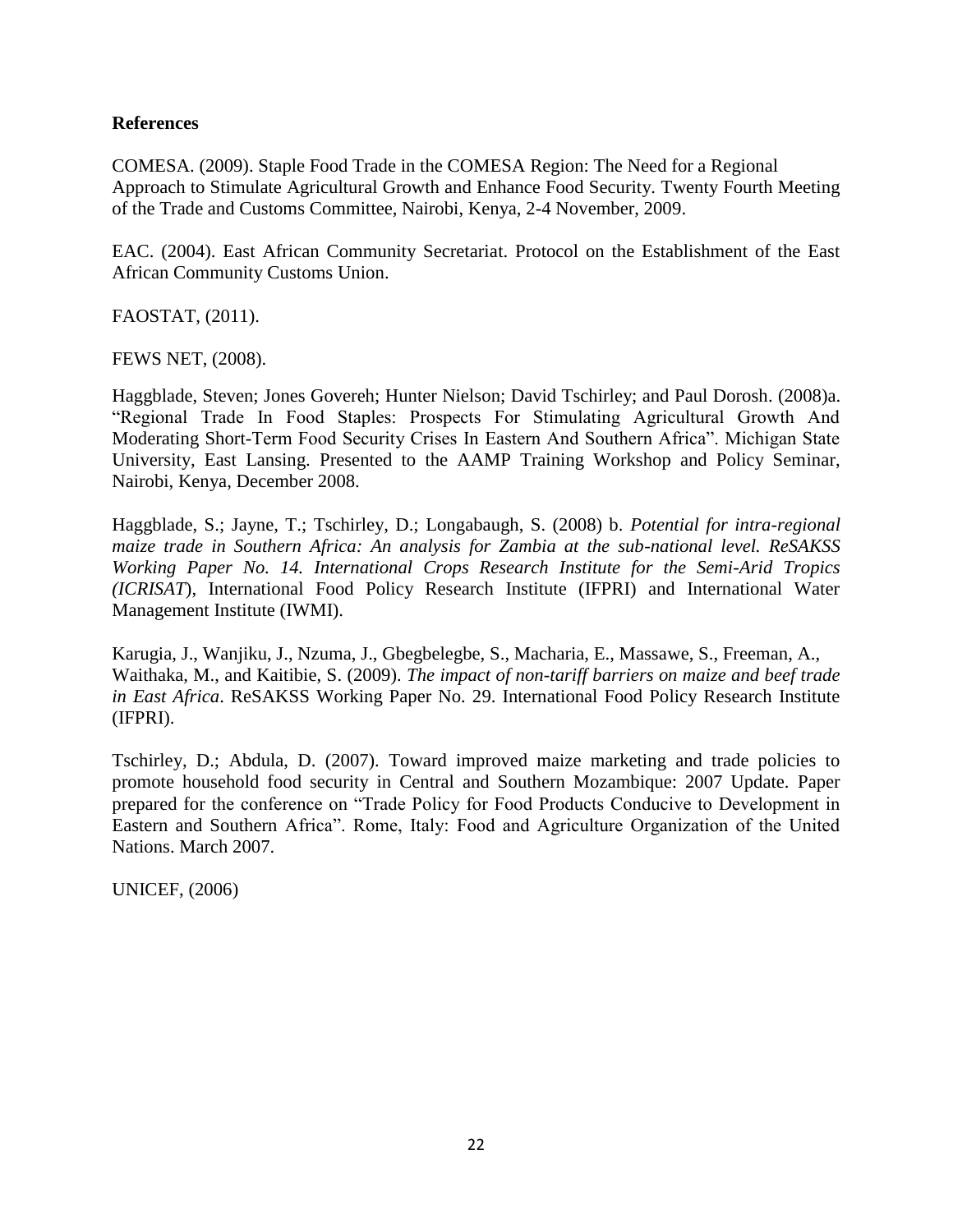#### **References**

COMESA. (2009). Staple Food Trade in the COMESA Region: The Need for a Regional Approach to Stimulate Agricultural Growth and Enhance Food Security. Twenty Fourth Meeting of the Trade and Customs Committee, Nairobi, Kenya, 2-4 November, 2009.

EAC. (2004). East African Community Secretariat. Protocol on the Establishment of the East African Community Customs Union.

FAOSTAT, (2011).

FEWS NET, (2008).

Haggblade, Steven; Jones Govereh; Hunter Nielson; David Tschirley; and Paul Dorosh. (2008)a. "Regional Trade In Food Staples: Prospects For Stimulating Agricultural Growth And Moderating Short-Term Food Security Crises In Eastern And Southern Africa". Michigan State University, East Lansing. Presented to the AAMP Training Workshop and Policy Seminar, Nairobi, Kenya, December 2008.

Haggblade, S.; Jayne, T.; Tschirley, D.; Longabaugh, S. (2008) b*. Potential for intra-regional maize trade in Southern Africa: An analysis for Zambia at the sub-national level. ReSAKSS Working Paper No. 14. International Crops Research Institute for the Semi-Arid Tropics (ICRISAT*), International Food Policy Research Institute (IFPRI) and International Water Management Institute (IWMI).

Karugia, J., Wanjiku, J., Nzuma, J., Gbegbelegbe, S., Macharia, E., Massawe, S., Freeman, A., Waithaka, M., and Kaitibie, S. (2009). *The impact of non-tariff barriers on maize and beef trade in East Africa*. ReSAKSS Working Paper No. 29. International Food Policy Research Institute (IFPRI).

Tschirley, D.; Abdula, D. (2007). Toward improved maize marketing and trade policies to promote household food security in Central and Southern Mozambique: 2007 Update*.* Paper prepared for the conference on "Trade Policy for Food Products Conducive to Development in Eastern and Southern Africa". Rome, Italy: Food and Agriculture Organization of the United Nations. March 2007.

UNICEF, (2006)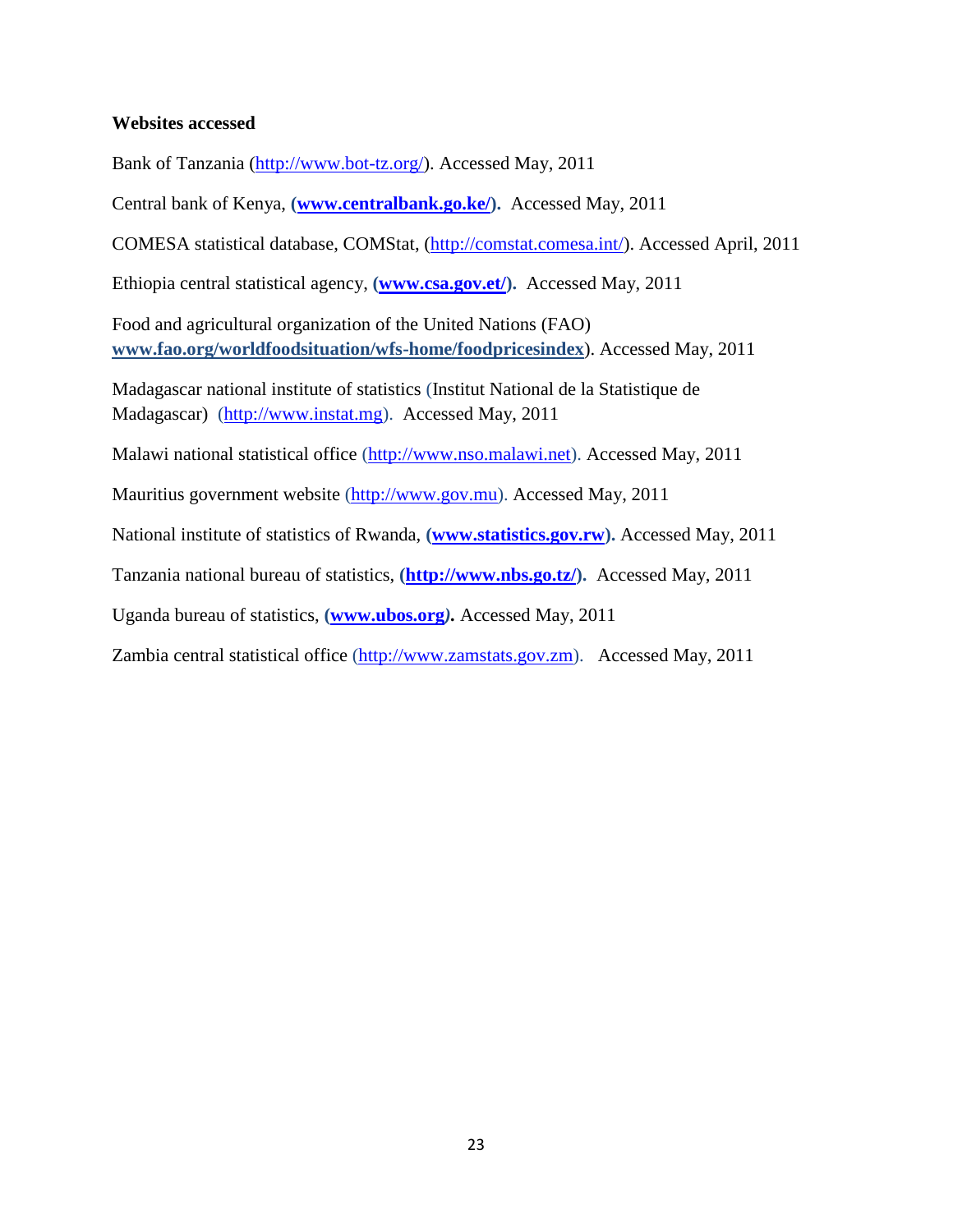#### **Websites accessed**

Bank of Tanzania [\(http://www.bot-tz.org/\)](http://www.bot-tz.org/). Accessed May, 2011

Central bank of Kenya, **[\(www.centralbank.go.ke/\)](http://www.centralbank.go.ke/).** Accessed May, 2011

COMESA statistical database, COMStat, [\(http://comstat.comesa.int/\)](http://comstat.comesa.int/). Accessed April, 2011

Ethiopia central statistical agency, **[\(www.csa.gov.et/\)](http://www.csa.gov.et/).** Accessed May, 2011

Food and agricultural organization of the United Nations (FAO) **[www.fao.org/worldfoodsituation/wfs-home/foodpricesindex](http://www.fao.org/worldfoodsituation/wfs-home/foodpricesindex)**). Accessed May, 2011

Madagascar national institute of statistics (Institut National de la Statistique de Madagascar) [\(http://www.instat.mg\)](http://www.instat.mg/). Accessed May, 2011

Malawi national statistical office [\(http://www.nso.malawi.net\)](http://www.nso.malawi.net/). Accessed May, 2011

Mauritius government website [\(http://www.gov.mu\)](http://www.gov.mu/). Accessed May, 2011

National institute of statistics of Rwanda, **[\(www.statistics.gov.rw\)](http://www.statistics.gov.rw/).** Accessed May, 2011

Tanzania national bureau of statistics, **[\(http://www.nbs.go.tz/\)](http://www.nbs.go.tz/).** Accessed May, 2011

Uganda bureau of statistics, **[\(www.ubos.org](http://www.ubos.org/)***).* Accessed May, 2011

Zambia central statistical office [\(http://www.zamstats.gov.zm\)](http://www.zamstats.gov.zm/). Accessed May, 2011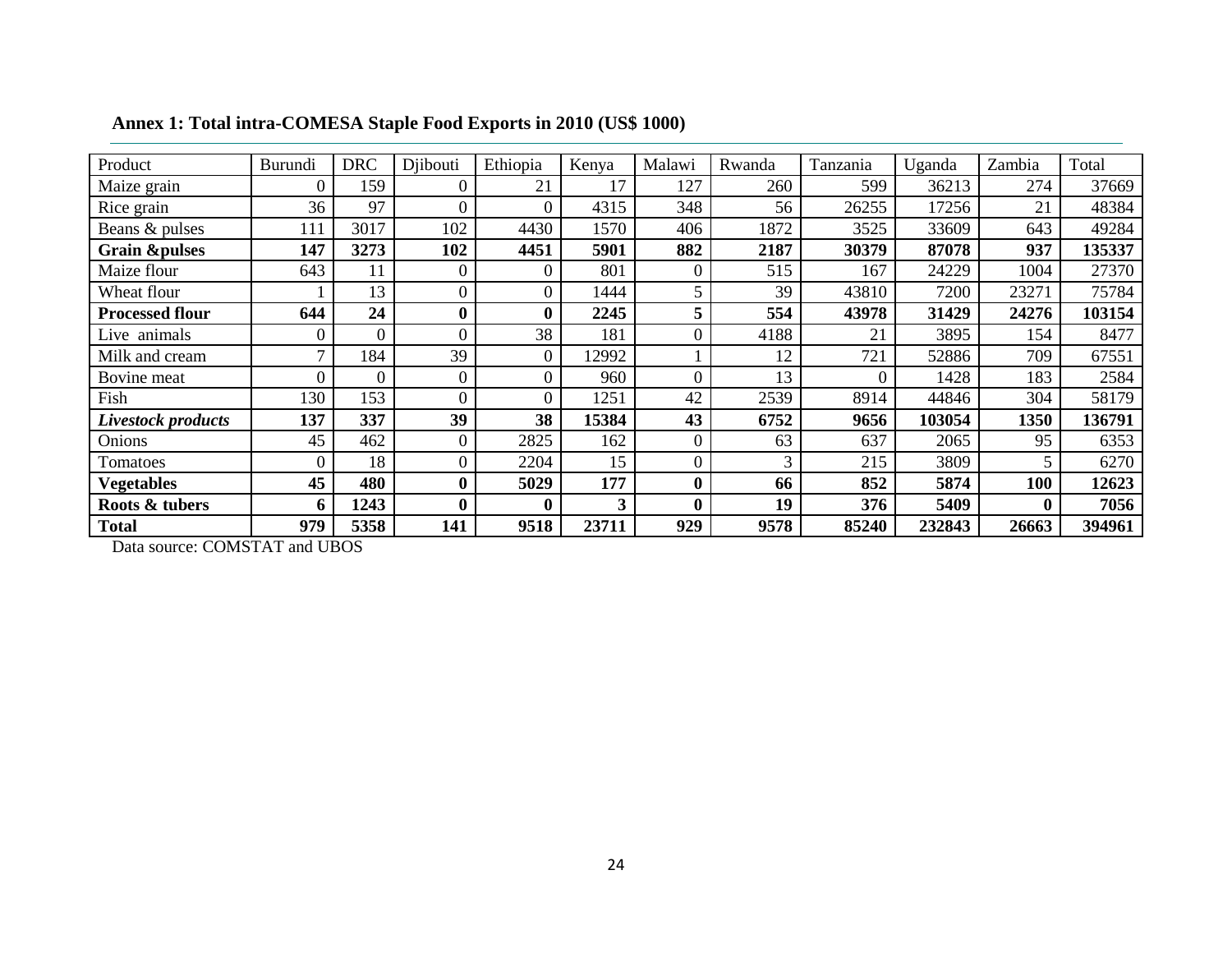| Product                  | Burundi        | <b>DRC</b> | Djibouti         | Ethiopia         | Kenya | Malawi   | Rwanda | Tanzania | Uganda | Zambia   | Total  |
|--------------------------|----------------|------------|------------------|------------------|-------|----------|--------|----------|--------|----------|--------|
| Maize grain              | $\Omega$       | 159        |                  | 21               | 17    | 127      | 260    | 599      | 36213  | 274      | 37669  |
| Rice grain               | 36             | 97         | 0                | $\overline{0}$   | 4315  | 348      | 56     | 26255    | 17256  | 21       | 48384  |
| Beans & pulses           | 111            | 3017       | 102              | 4430             | 1570  | 406      | 1872   | 3525     | 33609  | 643      | 49284  |
| <b>Grain &amp;pulses</b> | 147            | 3273       | 102              | 4451             | 5901  | 882      | 2187   | 30379    | 87078  | 937      | 135337 |
| Maize flour              | 643            | 11         | $\overline{0}$   | $\overline{0}$   | 801   | 0        | 515    | 167      | 24229  | 1004     | 27370  |
| Wheat flour              |                | 13         | $\overline{0}$   | $\overline{0}$   | 1444  |          | 39     | 43810    | 7200   | 23271    | 75784  |
| <b>Processed flour</b>   | 644            | 24         | $\boldsymbol{0}$ | $\boldsymbol{0}$ | 2245  | 5        | 554    | 43978    | 31429  | 24276    | 103154 |
| Live animals             | $\theta$       | $\Omega$   | $\overline{0}$   | 38               | 181   | 0        | 4188   | 21       | 3895   | 154      | 8477   |
| Milk and cream           | $\mathbf{r}$   | 184        | 39               | $\mathbf{0}$     | 12992 |          | 12     | 721      | 52886  | 709      | 67551  |
| Bovine meat              | $\overline{0}$ | $\theta$   | $\boldsymbol{0}$ | $\boldsymbol{0}$ | 960   | 0        | 13     | $\theta$ | 1428   | 183      | 2584   |
| Fish                     | 130            | 153        | $\overline{0}$   | $\overline{0}$   | 1251  | 42       | 2539   | 8914     | 44846  | 304      | 58179  |
| Livestock products       | 137            | 337        | 39               | 38               | 15384 | 43       | 6752   | 9656     | 103054 | 1350     | 136791 |
| Onions                   | 45             | 462        | $\overline{0}$   | 2825             | 162   | 0        | 63     | 637      | 2065   | 95       | 6353   |
| Tomatoes                 | $\overline{0}$ | 18         | $\theta$         | 2204             | 15    | 0        | 3      | 215      | 3809   | 5        | 6270   |
| <b>Vegetables</b>        | 45             | 480        | $\boldsymbol{0}$ | 5029             | 177   | $\bf{0}$ | 66     | 852      | 5874   | 100      | 12623  |
| Roots & tubers           | 6              | 1243       | $\boldsymbol{0}$ | $\boldsymbol{0}$ | 3     | $\bf{0}$ | 19     | 376      | 5409   | $\bf{0}$ | 7056   |
| <b>Total</b>             | 979            | 5358       | 141              | 9518             | 23711 | 929      | 9578   | 85240    | 232843 | 26663    | 394961 |

**Annex 1: Total intra-COMESA Staple Food Exports in 2010 (US\$ 1000)**

Data source: COMSTAT and UBOS